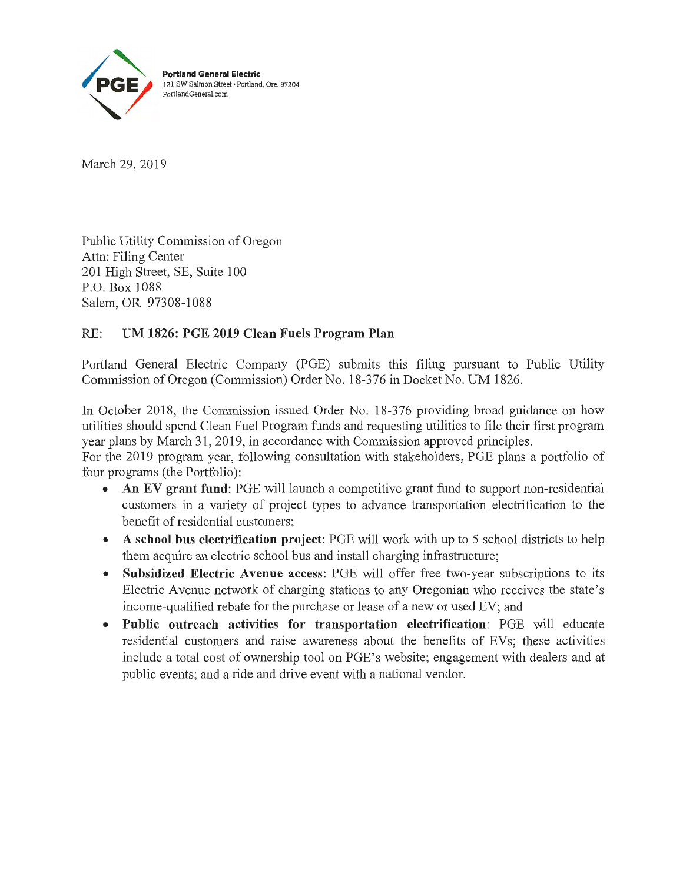

March 29, 2019

Public Utility Commission of Oregon Attn: Filing Center 201 High Street, SE, Suite 100 P.O. Box 1088 Salem, OR 97308-1088

#### RE: **UM 1826: PGE 2019 Clean Fuels Program Plan**

Portland General Electric Company (PGE) submits this filing pursuant to Public Utility Commission of Oregon (Commission) Order No. 18-376 in Docket No. UM 1826.

In October 2018, the Commission issued Order No. 18-376 providing broad guidance on how utilities should spend Clean Fuel Program funds and requesting utilities to file their first program year plans by March 31, 2019, in accordance with Commission approved principles.

For the 2019 program year, following consultation with stakeholders, PGE plans a portfolio of four programs (the Portfolio):

- **An EV grant fund:** PGE will launch a competitive grant fund to support non-residential customers in a variety of project types to advance transportation electrification to the benefit of residential customers;
- **A school bus electrification project:** PGE will work with up to 5 school districts to help them acquire an electric school bus and install charging infrastructure;
- **Subsidized Electric Avenue access:** PGE will offer free two-year subscriptions to its Electric Avenue network of charging stations to any Oregonian who receives the state's income-qualified rebate for the purchase or lease of a new or used EV; and
- **Public outreach activities for transportation electrification:** PGE will educate residential customers and raise awareness about the benefits of EVs; these activities include a total cost of ownership tool on PGE's website; engagement with dealers and at public events; and a ride and drive event with a national vendor.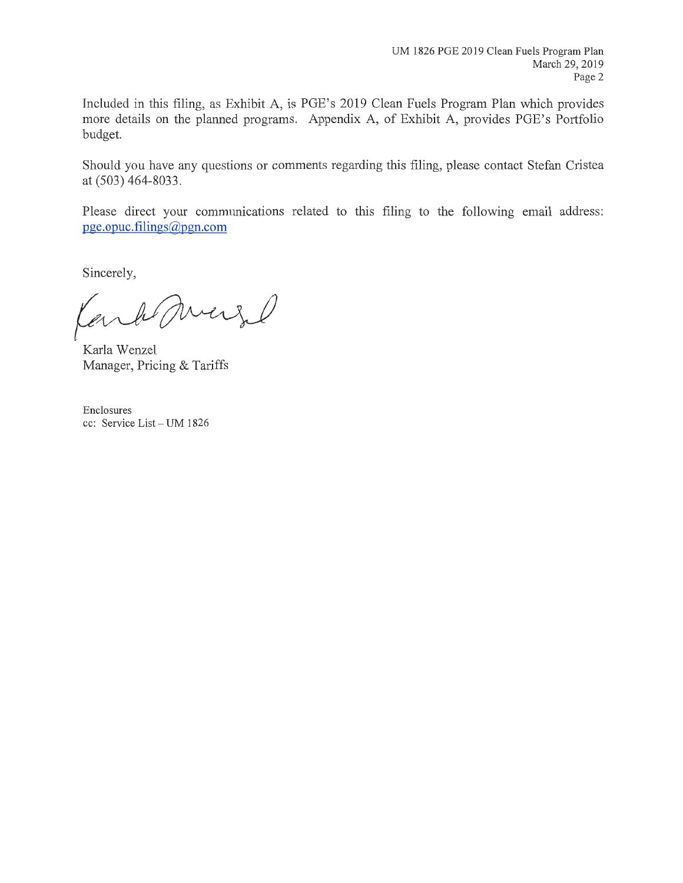Included in this filing, as Exhibit A, is PGE's 2019 Clean Fuels Program Plan which provides more details on the planned programs. Appendix A, of Exhibit A, provides PGE's Portfolio budget.

Should you have any questions or comments regarding this filing, please contact Stefan Cristea at (503) 464-8033 .

Please direct your communications related to this filing to the following email address: pge.opuc.filings@pgn.com

Sincerely,

Al Merzel  $\mathscr{M}$ 

Karla Wenzel Manager, Pricing & Tariffs

Enclosures cc: Service List - UM 1826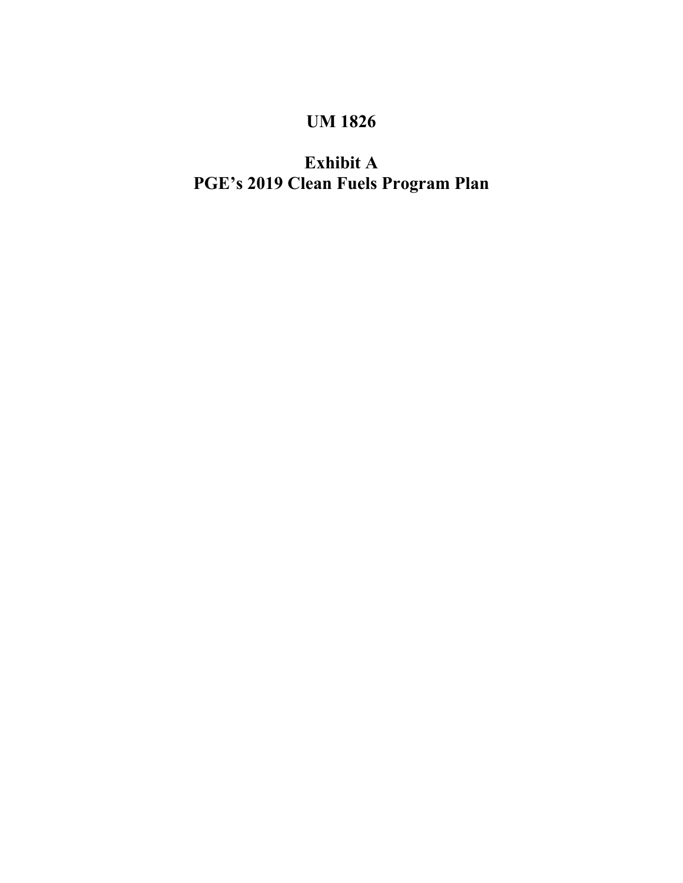# **UM 1826**

## **Exhibit A PGE's 2019 Clean Fuels Program Plan**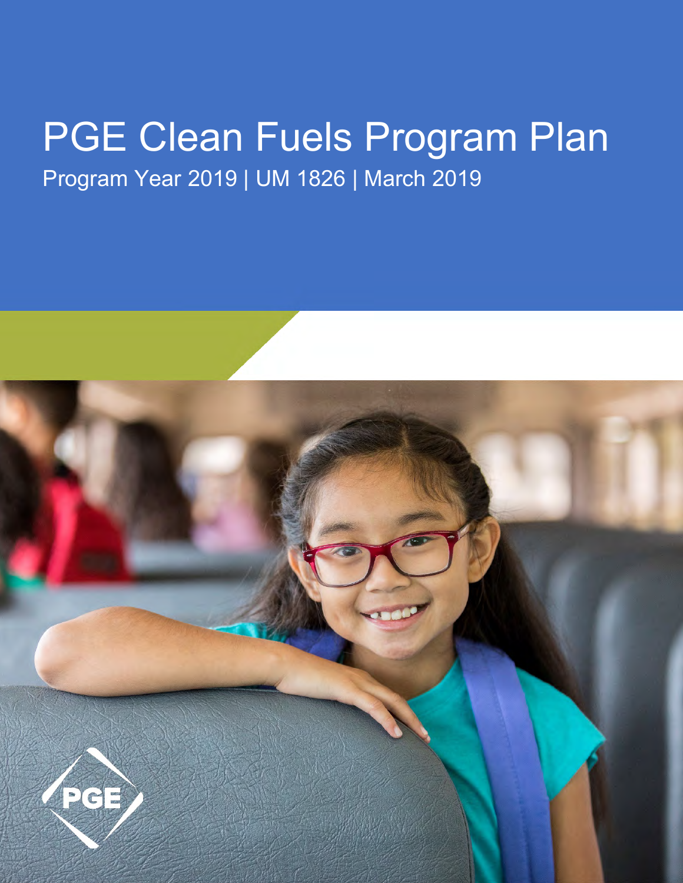# PGE Clean Fuels Program Plan

Program Year 2019 | UM 1826 | March 2019

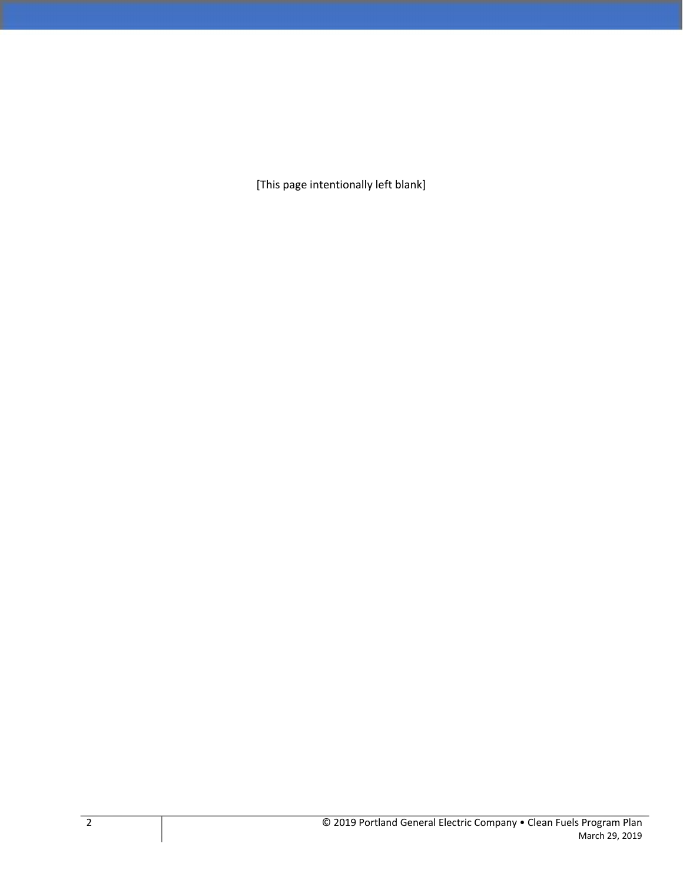[This page intentionally left blank]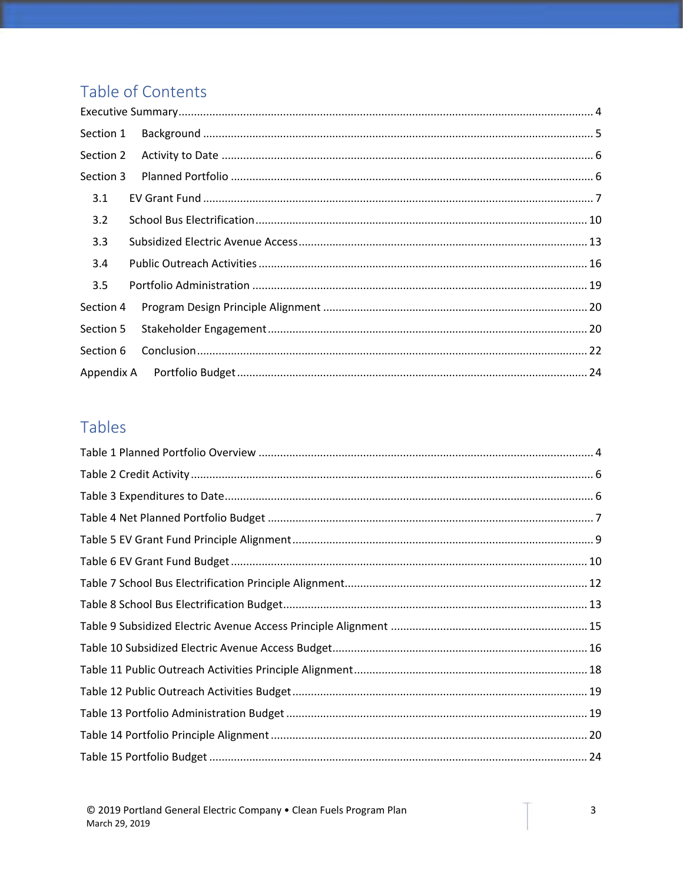# Table of Contents

| Section 1 |  |
|-----------|--|
| Section 2 |  |
| Section 3 |  |
| 3.1       |  |
| 3.2       |  |
| 3.3       |  |
| 3.4       |  |
| 3.5       |  |
| Section 4 |  |
| Section 5 |  |
| Section 6 |  |
|           |  |

# Tables

 $\bar{\mathbb{I}}$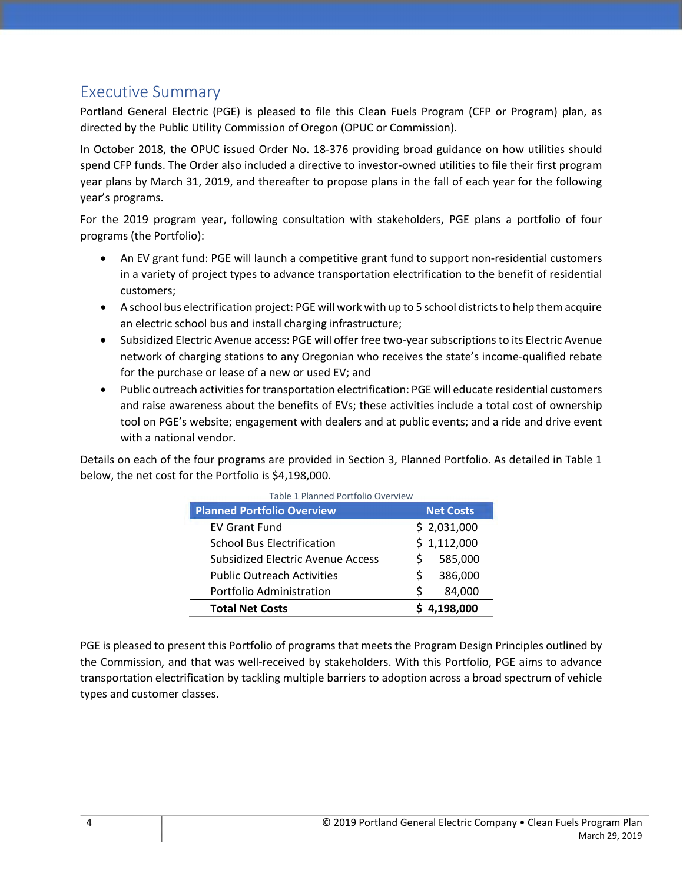### <span id="page-6-0"></span>Executive Summary

Portland General Electric (PGE) is pleased to file this Clean Fuels Program (CFP or Program) plan, as directed by the Public Utility Commission of Oregon (OPUC or Commission).

In October 2018, the OPUC issued Order No. 18-376 providing broad guidance on how utilities should spend CFP funds. The Order also included a directive to investor-owned utilities to file their first program year plans by March 31, 2019, and thereafter to propose plans in the fall of each year for the following year's programs.

For the 2019 program year, following consultation with stakeholders, PGE plans a portfolio of four programs (the Portfolio):

- An EV grant fund: PGE will launch a competitive grant fund to support non-residential customers in a variety of project types to advance transportation electrification to the benefit of residential customers;
- A school bus electrification project: PGE will work with up to 5 school districts to help them acquire an electric school bus and install charging infrastructure;
- Subsidized Electric Avenue access: PGE will offer free two-year subscriptions to its Electric Avenue network of charging stations to any Oregonian who receives the state's income-qualified rebate for the purchase or lease of a new or used EV; and
- Public outreach activities for transportation electrification: PGE will educate residential customers and raise awareness about the benefits of EVs; these activities include a total cost of ownership tool on PGE's website; engagement with dealers and at public events; and a ride and drive event with a national vendor.

<span id="page-6-1"></span>Details on each of the four programs are provided in Section 3, Planned Portfolio. As detailed in [Table 1](#page-6-1) below, the net cost for the Portfolio is \$4,198,000.

| Table 1 Planned Portfolio Overview |               |                  |  |  |  |
|------------------------------------|---------------|------------------|--|--|--|
| <b>Planned Portfolio Overview</b>  |               | <b>Net Costs</b> |  |  |  |
| <b>EV Grant Fund</b>               |               | \$2,031,000      |  |  |  |
| <b>School Bus Electrification</b>  |               | \$1,112,000      |  |  |  |
| Subsidized Electric Avenue Access  | 585,000<br>Š. |                  |  |  |  |
| <b>Public Outreach Activities</b>  | Š.            | 386,000          |  |  |  |
| Portfolio Administration           | S             | 84,000           |  |  |  |
| <b>Total Net Costs</b>             |               | 4,198,000        |  |  |  |

PGE is pleased to present this Portfolio of programs that meets the Program Design Principles outlined by the Commission, and that was well-received by stakeholders. With this Portfolio, PGE aims to advance transportation electrification by tackling multiple barriers to adoption across a broad spectrum of vehicle types and customer classes.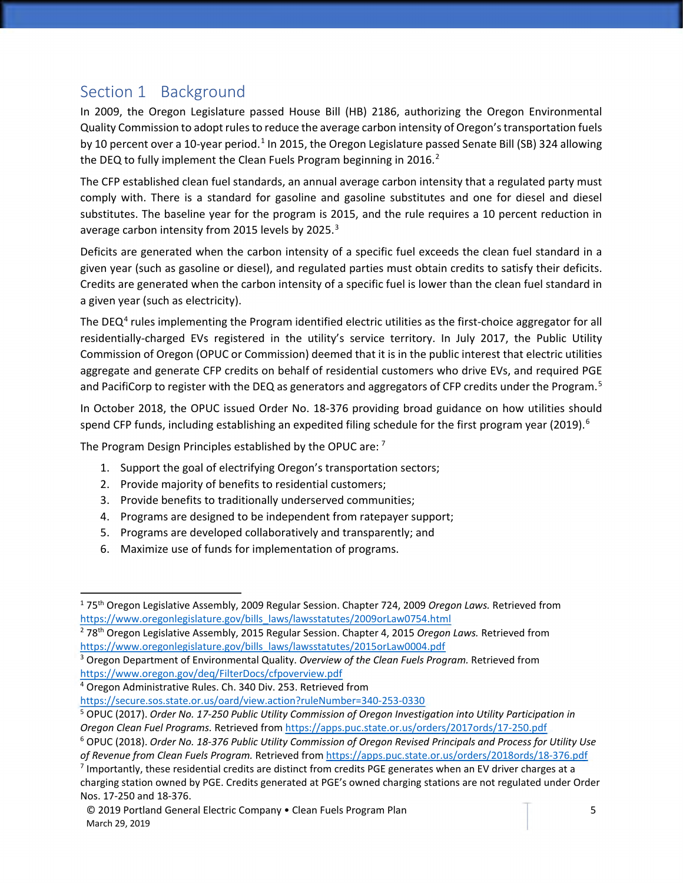## <span id="page-7-0"></span>Section 1 Background

In 2009, the Oregon Legislature passed House Bill (HB) 2186, authorizing the Oregon Environmental Quality Commission to adopt rules to reduce the average carbon intensity of Oregon's transportation fuels by [1](#page-7-1)0 percent over a 10-year period.<sup>1</sup> In 2015, the Oregon Legislature passed Senate Bill (SB) 324 allowing the DEQ to fully implement the Clean Fuels Program beginning in [2](#page-7-2)016.<sup>2</sup>

The CFP established clean fuel standards, an annual average carbon intensity that a regulated party must comply with. There is a standard for gasoline and gasoline substitutes and one for diesel and diesel substitutes. The baseline year for the program is 2015, and the rule requires a 10 percent reduction in average carbon intensity from 2015 levels by 2025.<sup>[3](#page-7-3)</sup>

Deficits are generated when the carbon intensity of a specific fuel exceeds the clean fuel standard in a given year (such as gasoline or diesel), and regulated parties must obtain credits to satisfy their deficits. Credits are generated when the carbon intensity of a specific fuel is lower than the clean fuel standard in a given year (such as electricity).

The DEQ<sup>[4](#page-7-4)</sup> rules implementing the Program identified electric utilities as the first-choice aggregator for all residentially-charged EVs registered in the utility's service territory. In July 2017, the Public Utility Commission of Oregon (OPUC or Commission) deemed that it is in the public interest that electric utilities aggregate and generate CFP credits on behalf of residential customers who drive EVs, and required PGE and PacifiCorp to register with the DEQ as generators and aggregators of CFP credits under the Program.<sup>[5](#page-7-5)</sup>

In October 2018, the OPUC issued Order No. 18-376 providing broad guidance on how utilities should spend CFP funds, including establishing an expedited filing schedule for the first program year (2019).<sup>[6](#page-7-6)</sup>

The Program Design Principles established by the OPUC are: <sup>[7](#page-7-7)</sup>

- 1. Support the goal of electrifying Oregon's transportation sectors;
- 2. Provide majority of benefits to residential customers;
- 3. Provide benefits to traditionally underserved communities;
- 4. Programs are designed to be independent from ratepayer support;
- 5. Programs are developed collaboratively and transparently; and
- 6. Maximize use of funds for implementation of programs.

 $\overline{a}$ 

<span id="page-7-1"></span><sup>1</sup> 75th Oregon Legislative Assembly, 2009 Regular Session. Chapter 724, 2009 *Oregon Laws.* Retrieved from [https://www.oregonlegislature.gov/bills\\_laws/lawsstatutes/2009orLaw0754.html](https://www.oregonlegislature.gov/bills_laws/lawsstatutes/2009orLaw0754.html) 2 78<sup>th</sup> Oregon Legislative Assembly, 2015 Regular Session. Chapter 4, 2015 *Oregon Laws.* Retrieved from

<span id="page-7-2"></span>https://www.oregonlegislature.gov/bills\_laws/lawsstatutes/2015orLaw0004.pdf<br><sup>3</sup> Oregon Department of Environmental Quality. *Overview of the Clean Fuels Program*. Retrieved from

<span id="page-7-3"></span><https://www.oregon.gov/deq/FilterDocs/cfpoverview.pdf>4 Oregon Administrative Rules. Ch. 340 Div. 253. Retrieved from

<span id="page-7-5"></span><span id="page-7-4"></span><https://secure.sos.state.or.us/oard/view.action?ruleNumber=340-253-0330><br><sup>5</sup> OPUC (2017). *Order No. 17-250 Public Utility Commission of Oregon Investigation into Utility Participation in* Oregon Clean Fuel Programs. Retrieved from https://apps.puc.state.or.us/orders/2017ords/17-250.pdf<br><sup>6</sup> OPUC (2018). Order No. 18-376 Public Utility Commission of Oregon Revised Principals and Process for Utility Use

<span id="page-7-7"></span><span id="page-7-6"></span>*of Revenue from Clean Fuels Program.* Retrieved fro[m https://apps.puc.state.or.us/orders/2018ords/18-376.pdf](https://apps.puc.state.or.us/orders/2018ords/18-376.pdf) 7  $<sup>7</sup>$  Importantly, these residential credits are distinct from credits PGE generates when an EV driver charges at a</sup> charging station owned by PGE. Credits generated at PGE's owned charging stations are not regulated under Order Nos. 17-250 and 18-376.

<sup>© 2019</sup> Portland General Electric Company • Clean Fuels Program Plan March 29, 2019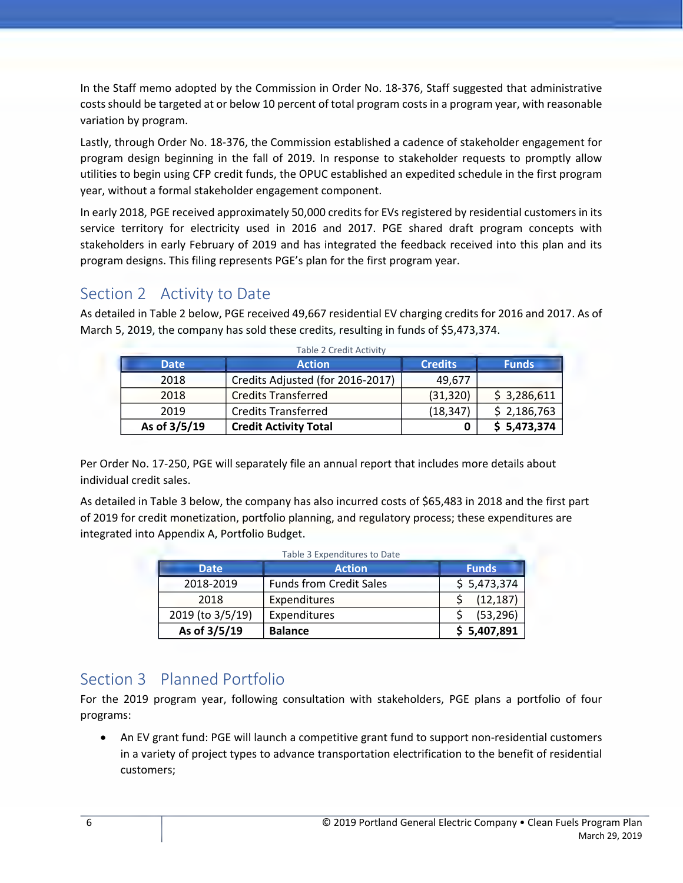In the Staff memo adopted by the Commission in Order No. 18-376, Staff suggested that administrative costs should be targeted at or below 10 percent of total program costs in a program year, with reasonable variation by program.

Lastly, through Order No. 18-376, the Commission established a cadence of stakeholder engagement for program design beginning in the fall of 2019. In response to stakeholder requests to promptly allow utilities to begin using CFP credit funds, the OPUC established an expedited schedule in the first program year, without a formal stakeholder engagement component.

In early 2018, PGE received approximately 50,000 credits for EVs registered by residential customers in its service territory for electricity used in 2016 and 2017. PGE shared draft program concepts with stakeholders in early February of 2019 and has integrated the feedback received into this plan and its program designs. This filing represents PGE's plan for the first program year.

## <span id="page-8-0"></span>Section 2 Activity to Date

<span id="page-8-2"></span>As detailed in [Table 2 b](#page-8-2)elow, PGE received 49,667 residential EV charging credits for 2016 and 2017. As of March 5, 2019, the company has sold these credits, resulting in funds of \$5,473,374.

| <b>Table 2 Credit Activity</b>     |                                  |              |             |  |  |  |
|------------------------------------|----------------------------------|--------------|-------------|--|--|--|
| <b>Date</b>                        | <b>Credits</b>                   | <b>Funds</b> |             |  |  |  |
| 2018                               | Credits Adjusted (for 2016-2017) | 49,677       |             |  |  |  |
| <b>Credits Transferred</b><br>2018 |                                  | (31, 320)    | \$3,286,611 |  |  |  |
| 2019                               | <b>Credits Transferred</b>       | (18, 347)    | \$2,186,763 |  |  |  |
| As of 3/5/19                       | <b>Credit Activity Total</b>     | 0            | \$5,473,374 |  |  |  |

Per Order No. 17-250, PGE will separately file an annual report that includes more details about individual credit sales.

<span id="page-8-3"></span>As detailed in [Table 3](#page-8-3) below, the company has also incurred costs of \$65,483 in 2018 and the first part of 2019 for credit monetization, portfolio planning, and regulatory process; these expenditures are integrated into Appendix A, Portfolio Budget.

| Table 3 Expenditures to Date |                                |             |  |  |  |  |
|------------------------------|--------------------------------|-------------|--|--|--|--|
| <b>Date</b>                  | <b>Funds</b>                   |             |  |  |  |  |
| 2018-2019                    | <b>Funds from Credit Sales</b> | \$5,473,374 |  |  |  |  |
| 2018                         | Expenditures                   | (12, 187)   |  |  |  |  |
| 2019 (to 3/5/19)             | Expenditures                   | (53, 296)   |  |  |  |  |
| As of 3/5/19                 | <b>Balance</b>                 | \$5,407,891 |  |  |  |  |

## <span id="page-8-1"></span>Section 3 Planned Portfolio

For the 2019 program year, following consultation with stakeholders, PGE plans a portfolio of four programs:

• An EV grant fund: PGE will launch a competitive grant fund to support non-residential customers in a variety of project types to advance transportation electrification to the benefit of residential customers;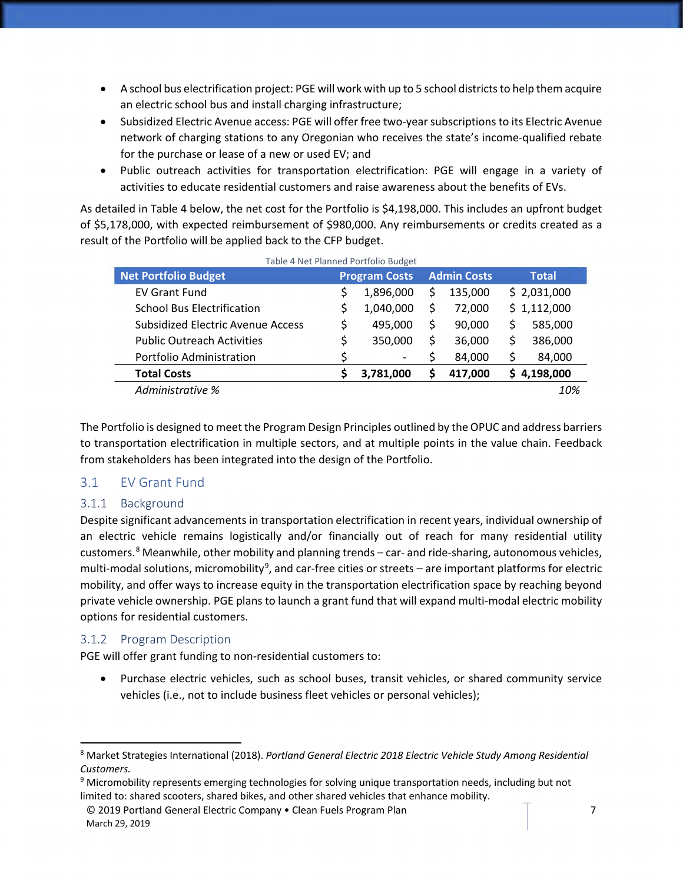- A school bus electrification project: PGE will work with up to 5 school districts to help them acquire an electric school bus and install charging infrastructure;
- Subsidized Electric Avenue access: PGE will offer free two-year subscriptions to its Electric Avenue network of charging stations to any Oregonian who receives the state's income-qualified rebate for the purchase or lease of a new or used EV; and
- Public outreach activities for transportation electrification: PGE will engage in a variety of activities to educate residential customers and raise awareness about the benefits of EVs.

As detailed in [Table 4](#page-9-1) below, the net cost for the Portfolio is \$4,198,000. This includes an upfront budget of \$5,178,000, with expected reimbursement of \$980,000. Any reimbursements or credits created as a result of the Portfolio will be applied back to the CFP budget.

<span id="page-9-1"></span>

| Table 4 Net Planned Portfolio Budget                |    |                          |    |         |    |             |
|-----------------------------------------------------|----|--------------------------|----|---------|----|-------------|
| <b>Net Portfolio Budget</b><br><b>Program Costs</b> |    | <b>Admin Costs</b>       |    | Total   |    |             |
| <b>EV Grant Fund</b>                                | \$ | 1,896,000                | \$ | 135,000 |    | \$2,031,000 |
| <b>School Bus Electrification</b>                   | \$ | 1,040,000                | \$ | 72,000  |    | \$1,112,000 |
| <b>Subsidized Electric Avenue Access</b>            | \$ | 495,000                  | \$ | 90,000  | S  | 585,000     |
| <b>Public Outreach Activities</b>                   | \$ | 350,000                  | \$ | 36,000  | \$ | 386,000     |
| Portfolio Administration                            | \$ | $\overline{\phantom{a}}$ | \$ | 84,000  | \$ | 84,000      |
| <b>Total Costs</b>                                  |    | 3,781,000                | Ş  | 417,000 |    | \$4,198,000 |
| Administrative %                                    |    |                          |    |         |    | 10%         |

The Portfolio is designed to meet the Program Design Principles outlined by the OPUC and address barriers to transportation electrification in multiple sectors, and at multiple points in the value chain. Feedback from stakeholders has been integrated into the design of the Portfolio.

#### <span id="page-9-0"></span>3.1 EV Grant Fund

#### 3.1.1 Background

Despite significant advancements in transportation electrification in recent years, individual ownership of an electric vehicle remains logistically and/or financially out of reach for many residential utility customers.<sup>[8](#page-9-2)</sup> Meanwhile, other mobility and planning trends – car- and ride-sharing, autonomous vehicles, multi-modal solutions, micromobility<sup>[9](#page-9-3)</sup>, and car-free cities or streets – are important platforms for electric mobility, and offer ways to increase equity in the transportation electrification space by reaching beyond private vehicle ownership. PGE plans to launch a grant fund that will expand multi-modal electric mobility options for residential customers.

#### 3.1.2 Program Description

 $\overline{a}$ 

PGE will offer grant funding to non-residential customers to:

• Purchase electric vehicles, such as school buses, transit vehicles, or shared community service vehicles (i.e., not to include business fleet vehicles or personal vehicles);

© 2019 Portland General Electric Company • Clean Fuels Program Plan March 29, 2019

<span id="page-9-2"></span><sup>8</sup> Market Strategies International (2018). *Portland General Electric 2018 Electric Vehicle Study Among Residential Customers.*

<span id="page-9-3"></span><sup>9</sup> Micromobility represents emerging technologies for solving unique transportation needs, including but not limited to: shared scooters, shared bikes, and other shared vehicles that enhance mobility.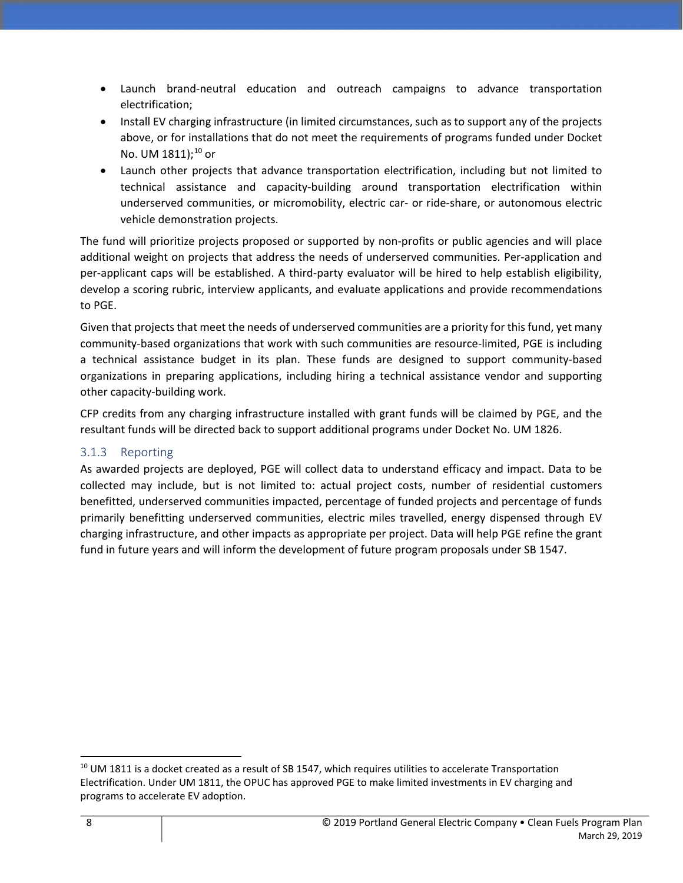- Launch brand-neutral education and outreach campaigns to advance transportation electrification;
- Install EV charging infrastructure (in limited circumstances, such as to support any of the projects above, or for installations that do not meet the requirements of programs funded under Docket No. UM  $1811$ );<sup>[10](#page-10-0)</sup> or
- Launch other projects that advance transportation electrification, including but not limited to technical assistance and capacity-building around transportation electrification within underserved communities, or micromobility, electric car- or ride-share, or autonomous electric vehicle demonstration projects.

The fund will prioritize projects proposed or supported by non-profits or public agencies and will place additional weight on projects that address the needs of underserved communities. Per-application and per-applicant caps will be established. A third-party evaluator will be hired to help establish eligibility, develop a scoring rubric, interview applicants, and evaluate applications and provide recommendations to PGE.

Given that projects that meet the needs of underserved communities are a priority for this fund, yet many community-based organizations that work with such communities are resource-limited, PGE is including a technical assistance budget in its plan. These funds are designed to support community-based organizations in preparing applications, including hiring a technical assistance vendor and supporting other capacity-building work.

CFP credits from any charging infrastructure installed with grant funds will be claimed by PGE, and the resultant funds will be directed back to support additional programs under Docket No. UM 1826.

#### 3.1.3 Reporting

As awarded projects are deployed, PGE will collect data to understand efficacy and impact. Data to be collected may include, but is not limited to: actual project costs, number of residential customers benefitted, underserved communities impacted, percentage of funded projects and percentage of funds primarily benefitting underserved communities, electric miles travelled, energy dispensed through EV charging infrastructure, and other impacts as appropriate per project. Data will help PGE refine the grant fund in future years and will inform the development of future program proposals under SB 1547.

 $\overline{a}$ 

<span id="page-10-0"></span> $10$  UM 1811 is a docket created as a result of SB 1547, which requires utilities to accelerate Transportation Electrification. Under UM 1811, the OPUC has approved PGE to make limited investments in EV charging and programs to accelerate EV adoption.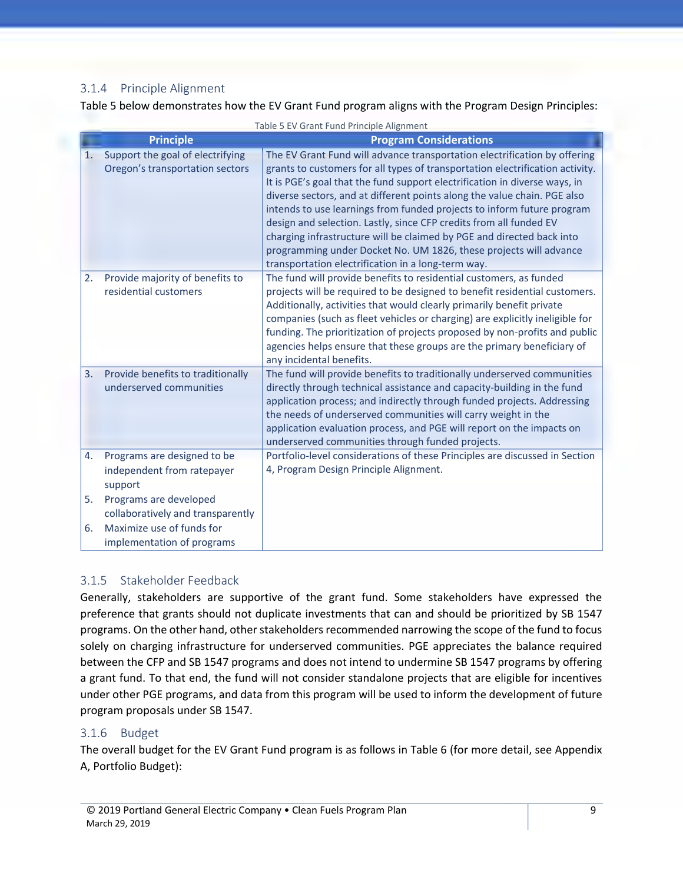#### 3.1.4 Principle Alignment

[Table 5](#page-11-0) below demonstrates how the EV Grant Fund program aligns with the Program Design Principles:

<span id="page-11-0"></span>

|    | Table 5 EV Grant Fund Principle Alignment                            |                                                                                                                                                                                                                                                                                                                                                                                                                                                                                                                                                                                                                                                                          |  |  |  |  |
|----|----------------------------------------------------------------------|--------------------------------------------------------------------------------------------------------------------------------------------------------------------------------------------------------------------------------------------------------------------------------------------------------------------------------------------------------------------------------------------------------------------------------------------------------------------------------------------------------------------------------------------------------------------------------------------------------------------------------------------------------------------------|--|--|--|--|
|    | <b>Principle</b>                                                     | <b>Program Considerations</b>                                                                                                                                                                                                                                                                                                                                                                                                                                                                                                                                                                                                                                            |  |  |  |  |
| 1. | Support the goal of electrifying<br>Oregon's transportation sectors  | The EV Grant Fund will advance transportation electrification by offering<br>grants to customers for all types of transportation electrification activity.<br>It is PGE's goal that the fund support electrification in diverse ways, in<br>diverse sectors, and at different points along the value chain. PGE also<br>intends to use learnings from funded projects to inform future program<br>design and selection. Lastly, since CFP credits from all funded EV<br>charging infrastructure will be claimed by PGE and directed back into<br>programming under Docket No. UM 1826, these projects will advance<br>transportation electrification in a long-term way. |  |  |  |  |
| 2. | Provide majority of benefits to<br>residential customers             | The fund will provide benefits to residential customers, as funded<br>projects will be required to be designed to benefit residential customers.<br>Additionally, activities that would clearly primarily benefit private<br>companies (such as fleet vehicles or charging) are explicitly ineligible for<br>funding. The prioritization of projects proposed by non-profits and public<br>agencies helps ensure that these groups are the primary beneficiary of<br>any incidental benefits.                                                                                                                                                                            |  |  |  |  |
| 3. | Provide benefits to traditionally<br>underserved communities         | The fund will provide benefits to traditionally underserved communities<br>directly through technical assistance and capacity-building in the fund<br>application process; and indirectly through funded projects. Addressing<br>the needs of underserved communities will carry weight in the<br>application evaluation process, and PGE will report on the impacts on<br>underserved communities through funded projects.                                                                                                                                                                                                                                              |  |  |  |  |
| 4. | Programs are designed to be<br>independent from ratepayer<br>support | Portfolio-level considerations of these Principles are discussed in Section<br>4, Program Design Principle Alignment.                                                                                                                                                                                                                                                                                                                                                                                                                                                                                                                                                    |  |  |  |  |
| 5. | Programs are developed<br>collaboratively and transparently          |                                                                                                                                                                                                                                                                                                                                                                                                                                                                                                                                                                                                                                                                          |  |  |  |  |
| 6. | Maximize use of funds for<br>implementation of programs              |                                                                                                                                                                                                                                                                                                                                                                                                                                                                                                                                                                                                                                                                          |  |  |  |  |

#### 3.1.5 Stakeholder Feedback

Generally, stakeholders are supportive of the grant fund. Some stakeholders have expressed the preference that grants should not duplicate investments that can and should be prioritized by SB 1547 programs. On the other hand, other stakeholders recommended narrowing the scope of the fund to focus solely on charging infrastructure for underserved communities. PGE appreciates the balance required between the CFP and SB 1547 programs and does not intend to undermine SB 1547 programs by offering a grant fund. To that end, the fund will not consider standalone projects that are eligible for incentives under other PGE programs, and data from this program will be used to inform the development of future program proposals under SB 1547.

#### 3.1.6 Budget

The overall budget for the EV Grant Fund program is as follows in [Table 6](#page-12-1) (for more detail, see Appendix A, Portfolio Budget):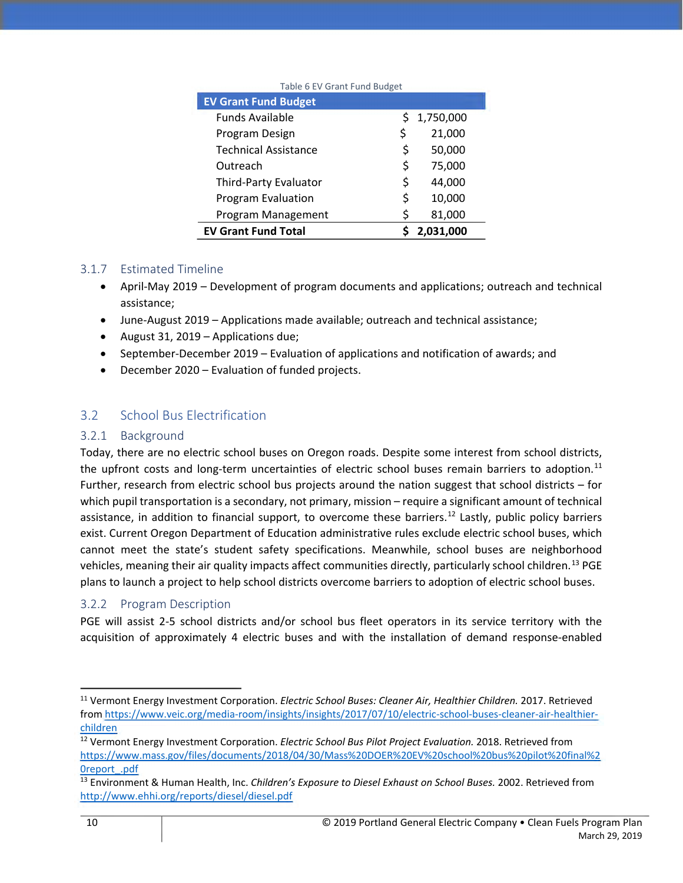<span id="page-12-1"></span>

| Table 6 EV Grant Fund Budget |    |           |  |  |  |
|------------------------------|----|-----------|--|--|--|
| <b>EV Grant Fund Budget</b>  |    |           |  |  |  |
| <b>Funds Available</b>       | S  | 1,750,000 |  |  |  |
| Program Design               | \$ | 21,000    |  |  |  |
| <b>Technical Assistance</b>  | \$ | 50,000    |  |  |  |
| Outreach                     | \$ | 75,000    |  |  |  |
| <b>Third-Party Evaluator</b> | \$ | 44,000    |  |  |  |
| Program Evaluation           | \$ | 10,000    |  |  |  |
| Program Management           | \$ | 81,000    |  |  |  |
| <b>EV Grant Fund Total</b>   |    | 2,031,000 |  |  |  |

#### 3.1.7 Estimated Timeline

- April-May 2019 Development of program documents and applications; outreach and technical assistance;
- June-August 2019 Applications made available; outreach and technical assistance;
- August 31, 2019 Applications due;
- September-December 2019 Evaluation of applications and notification of awards; and
- December 2020 Evaluation of funded projects.

#### <span id="page-12-0"></span>3.2 School Bus Electrification

#### 3.2.1 Background

Today, there are no electric school buses on Oregon roads. Despite some interest from school districts, the upfront costs and long-term uncertainties of electric school buses remain barriers to adoption.<sup>[11](#page-12-2)</sup> Further, research from electric school bus projects around the nation suggest that school districts – for which pupil transportation is a secondary, not primary, mission – require a significant amount of technical assistance, in addition to financial support, to overcome these barriers.<sup>[12](#page-12-3)</sup> Lastly, public policy barriers exist. Current Oregon Department of Education administrative rules exclude electric school buses, which cannot meet the state's student safety specifications. Meanwhile, school buses are neighborhood vehicles, meaning their air quality impacts affect communities directly, particularly school children.<sup>[13](#page-12-4)</sup> PGE plans to launch a project to help school districts overcome barriers to adoption of electric school buses.

#### 3.2.2 Program Description

PGE will assist 2-5 school districts and/or school bus fleet operators in its service territory with the acquisition of approximately 4 electric buses and with the installation of demand response-enabled

 $\overline{a}$ 

<span id="page-12-2"></span><sup>11</sup> Vermont Energy Investment Corporation. *Electric School Buses: Cleaner Air, Healthier Children.* 2017. Retrieved from [https://www.veic.org/media-room/insights/insights/2017/07/10/electric-school-buses-cleaner-air-healthier](https://www.veic.org/media-room/insights/insights/2017/07/10/electric-school-buses-cleaner-air-healthier-children)[children](https://www.veic.org/media-room/insights/insights/2017/07/10/electric-school-buses-cleaner-air-healthier-children) 12 Vermont Energy Investment Corporation. *Electric School Bus Pilot Project Evaluation.* 2018. Retrieved from

<span id="page-12-3"></span>[https://www.mass.gov/files/documents/2018/04/30/Mass%20DOER%20EV%20school%20bus%20pilot%20final%2](https://www.mass.gov/files/documents/2018/04/30/Mass%20DOER%20EV%20school%20bus%20pilot%20final%20report_.pdf) [0report\\_.pdf](https://www.mass.gov/files/documents/2018/04/30/Mass%20DOER%20EV%20school%20bus%20pilot%20final%20report_.pdf) 13 Environment & Human Health, Inc. *Children's Exposure to Diesel Exhaust on School Buses.* 2002. Retrieved from

<span id="page-12-4"></span><http://www.ehhi.org/reports/diesel/diesel.pdf>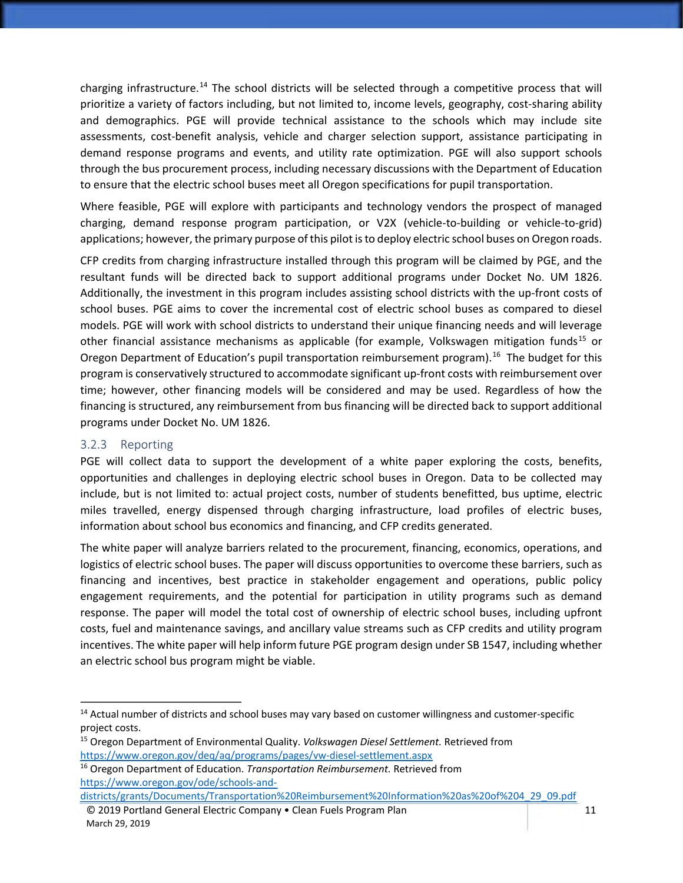charging infrastructure.<sup>[14](#page-13-0)</sup> The school districts will be selected through a competitive process that will prioritize a variety of factors including, but not limited to, income levels, geography, cost-sharing ability and demographics. PGE will provide technical assistance to the schools which may include site assessments, cost-benefit analysis, vehicle and charger selection support, assistance participating in demand response programs and events, and utility rate optimization. PGE will also support schools through the bus procurement process, including necessary discussions with the Department of Education to ensure that the electric school buses meet all Oregon specifications for pupil transportation.

Where feasible, PGE will explore with participants and technology vendors the prospect of managed charging, demand response program participation, or V2X (vehicle-to-building or vehicle-to-grid) applications; however, the primary purpose of this pilot is to deploy electric school buses on Oregon roads.

CFP credits from charging infrastructure installed through this program will be claimed by PGE, and the resultant funds will be directed back to support additional programs under Docket No. UM 1826. Additionally, the investment in this program includes assisting school districts with the up-front costs of school buses. PGE aims to cover the incremental cost of electric school buses as compared to diesel models. PGE will work with school districts to understand their unique financing needs and will leverage other financial assistance mechanisms as applicable (for example, Volkswagen mitigation funds<sup>[15](#page-13-1)</sup> or Oregon Department of Education's pupil transportation reimbursement program).<sup>16</sup> The budget for this program is conservatively structured to accommodate significant up-front costs with reimbursement over time; however, other financing models will be considered and may be used. Regardless of how the financing is structured, any reimbursement from bus financing will be directed back to support additional programs under Docket No. UM 1826.

#### 3.2.3 Reporting

 $\overline{a}$ 

PGE will collect data to support the development of a white paper exploring the costs, benefits, opportunities and challenges in deploying electric school buses in Oregon. Data to be collected may include, but is not limited to: actual project costs, number of students benefitted, bus uptime, electric miles travelled, energy dispensed through charging infrastructure, load profiles of electric buses, information about school bus economics and financing, and CFP credits generated.

The white paper will analyze barriers related to the procurement, financing, economics, operations, and logistics of electric school buses. The paper will discuss opportunities to overcome these barriers, such as financing and incentives, best practice in stakeholder engagement and operations, public policy engagement requirements, and the potential for participation in utility programs such as demand response. The paper will model the total cost of ownership of electric school buses, including upfront costs, fuel and maintenance savings, and ancillary value streams such as CFP credits and utility program incentives. The white paper will help inform future PGE program design under SB 1547, including whether an electric school bus program might be viable.

<span id="page-13-0"></span><sup>&</sup>lt;sup>14</sup> Actual number of districts and school buses may vary based on customer willingness and customer-specific project costs.

<span id="page-13-1"></span><sup>15</sup> Oregon Department of Environmental Quality. *Volkswagen Diesel Settlement.* Retrieved from

<span id="page-13-2"></span><https://www.oregon.gov/deq/aq/programs/pages/vw-diesel-settlement.aspx>16 Oregon Department of Education. *Transportation Reimbursement.* Retrieved from [https://www.oregon.gov/ode/schools-and-](https://www.oregon.gov/ode/schools-and-districts/grants/Documents/Transportation%20Reimbursement%20Information%20as%20of%204_29_09.pdf)

[districts/grants/Documents/Transportation%20Reimbursement%20Information%20as%20of%204\\_29\\_09.pdf](https://www.oregon.gov/ode/schools-and-districts/grants/Documents/Transportation%20Reimbursement%20Information%20as%20of%204_29_09.pdf) 

<sup>© 2019</sup> Portland General Electric Company • Clean Fuels Program Plan March 29, 2019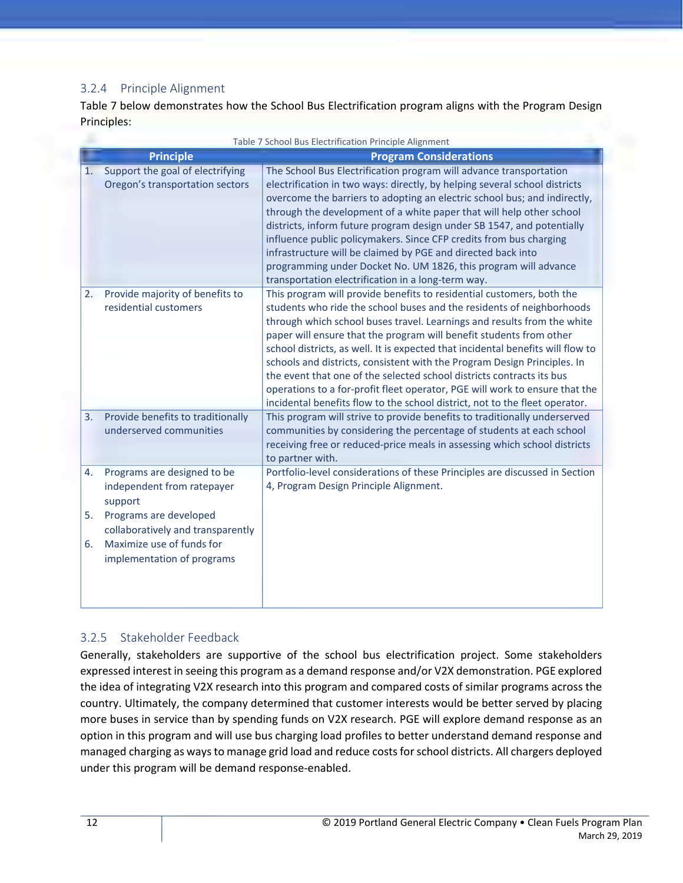#### 3.2.4 Principle Alignment

[Table 7](#page-14-0) below demonstrates how the School Bus Electrification program aligns with the Program Design Principles:

<span id="page-14-0"></span>

|          | Table 7 School Bus Electrification Principle Alignment                                                                 |                                                                                                                                                                                                                                                                                                                                                                                                                                                                                                                                                                                                                                                                                                        |  |  |  |
|----------|------------------------------------------------------------------------------------------------------------------------|--------------------------------------------------------------------------------------------------------------------------------------------------------------------------------------------------------------------------------------------------------------------------------------------------------------------------------------------------------------------------------------------------------------------------------------------------------------------------------------------------------------------------------------------------------------------------------------------------------------------------------------------------------------------------------------------------------|--|--|--|
|          | <b>Principle</b>                                                                                                       | <b>Program Considerations</b>                                                                                                                                                                                                                                                                                                                                                                                                                                                                                                                                                                                                                                                                          |  |  |  |
| 1.       | Support the goal of electrifying<br>Oregon's transportation sectors                                                    | The School Bus Electrification program will advance transportation<br>electrification in two ways: directly, by helping several school districts<br>overcome the barriers to adopting an electric school bus; and indirectly,<br>through the development of a white paper that will help other school<br>districts, inform future program design under SB 1547, and potentially<br>influence public policymakers. Since CFP credits from bus charging<br>infrastructure will be claimed by PGE and directed back into<br>programming under Docket No. UM 1826, this program will advance<br>transportation electrification in a long-term way.                                                         |  |  |  |
| 2.       | Provide majority of benefits to<br>residential customers                                                               | This program will provide benefits to residential customers, both the<br>students who ride the school buses and the residents of neighborhoods<br>through which school buses travel. Learnings and results from the white<br>paper will ensure that the program will benefit students from other<br>school districts, as well. It is expected that incidental benefits will flow to<br>schools and districts, consistent with the Program Design Principles. In<br>the event that one of the selected school districts contracts its bus<br>operations to a for-profit fleet operator, PGE will work to ensure that the<br>incidental benefits flow to the school district, not to the fleet operator. |  |  |  |
| 3.       | Provide benefits to traditionally<br>underserved communities                                                           | This program will strive to provide benefits to traditionally underserved<br>communities by considering the percentage of students at each school<br>receiving free or reduced-price meals in assessing which school districts<br>to partner with.                                                                                                                                                                                                                                                                                                                                                                                                                                                     |  |  |  |
| 4.       | Programs are designed to be<br>independent from ratepayer<br>support                                                   | Portfolio-level considerations of these Principles are discussed in Section<br>4, Program Design Principle Alignment.                                                                                                                                                                                                                                                                                                                                                                                                                                                                                                                                                                                  |  |  |  |
| 5.<br>6. | Programs are developed<br>collaboratively and transparently<br>Maximize use of funds for<br>implementation of programs |                                                                                                                                                                                                                                                                                                                                                                                                                                                                                                                                                                                                                                                                                                        |  |  |  |

#### 3.2.5 Stakeholder Feedback

Generally, stakeholders are supportive of the school bus electrification project. Some stakeholders expressed interest in seeing this program as a demand response and/or V2X demonstration. PGE explored the idea of integrating V2X research into this program and compared costs of similar programs across the country. Ultimately, the company determined that customer interests would be better served by placing more buses in service than by spending funds on V2X research. PGE will explore demand response as an option in this program and will use bus charging load profiles to better understand demand response and managed charging as ways to manage grid load and reduce costs for school districts. All chargers deployed under this program will be demand response-enabled.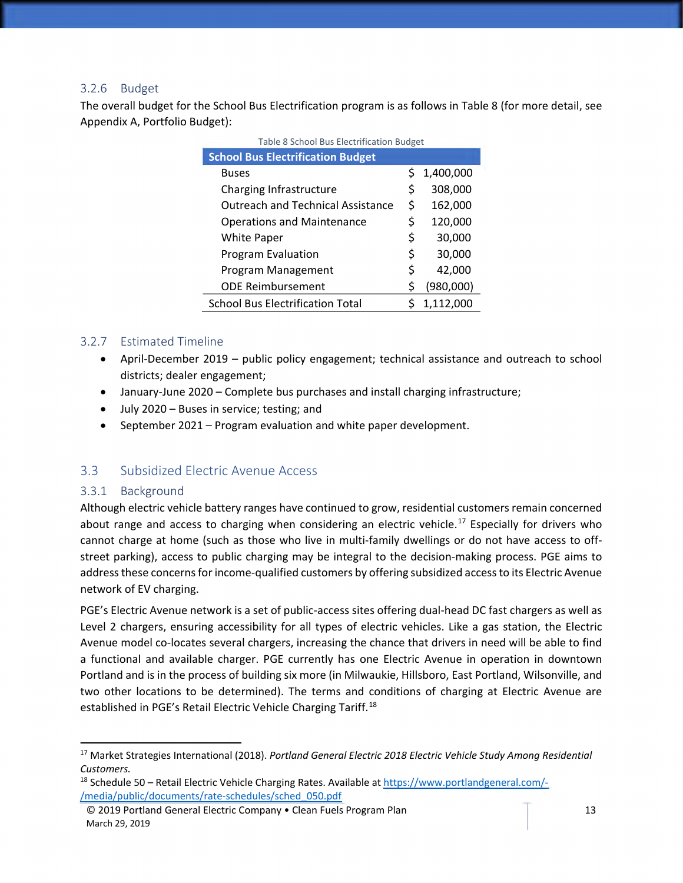#### 3.2.6 Budget

<span id="page-15-1"></span>The overall budget for the School Bus Electrification program is as follows in [Table 8](#page-15-1) (for more detail, see Appendix A, Portfolio Budget):

| Table 8 School Bus Electrification Budget |    |           |  |  |  |  |
|-------------------------------------------|----|-----------|--|--|--|--|
| <b>School Bus Electrification Budget</b>  |    |           |  |  |  |  |
| <b>Buses</b>                              | \$ | 1,400,000 |  |  |  |  |
| Charging Infrastructure                   | \$ | 308,000   |  |  |  |  |
| <b>Outreach and Technical Assistance</b>  | \$ | 162,000   |  |  |  |  |
| <b>Operations and Maintenance</b>         | \$ | 120,000   |  |  |  |  |
| <b>White Paper</b>                        | \$ | 30,000    |  |  |  |  |
| <b>Program Evaluation</b>                 | \$ | 30,000    |  |  |  |  |
| Program Management                        | \$ | 42,000    |  |  |  |  |
| <b>ODE Reimbursement</b>                  | \$ | (980,000) |  |  |  |  |
| <b>School Bus Electrification Total</b>   |    | 1,112,000 |  |  |  |  |

#### 3.2.7 Estimated Timeline

- April-December 2019 public policy engagement; technical assistance and outreach to school districts; dealer engagement;
- January-June 2020 Complete bus purchases and install charging infrastructure;
- July 2020 Buses in service; testing; and
- September 2021 Program evaluation and white paper development.

#### <span id="page-15-0"></span>3.3 Subsidized Electric Avenue Access

#### 3.3.1 Background

 $\overline{a}$ 

Although electric vehicle battery ranges have continued to grow, residential customers remain concerned about range and access to charging when considering an electric vehicle.<sup>[17](#page-15-2)</sup> Especially for drivers who cannot charge at home (such as those who live in multi-family dwellings or do not have access to offstreet parking), access to public charging may be integral to the decision-making process. PGE aims to address these concerns for income-qualified customers by offering subsidized accessto its Electric Avenue network of EV charging.

PGE's Electric Avenue network is a set of public-access sites offering dual-head DC fast chargers as well as Level 2 chargers, ensuring accessibility for all types of electric vehicles. Like a gas station, the Electric Avenue model co-locates several chargers, increasing the chance that drivers in need will be able to find a functional and available charger. PGE currently has one Electric Avenue in operation in downtown Portland and is in the process of building six more (in Milwaukie, Hillsboro, East Portland, Wilsonville, and two other locations to be determined). The terms and conditions of charging at Electric Avenue are established in PGE's Retail Electric Vehicle Charging Tariff.<sup>[18](#page-15-3)</sup>

<span id="page-15-2"></span><sup>17</sup> Market Strategies International (2018). *Portland General Electric 2018 Electric Vehicle Study Among Residential Customers.*

<span id="page-15-3"></span><sup>18</sup> Schedule 50 – Retail Electric Vehicle Charging Rates. Available at [https://www.portlandgeneral.com/-](https://www.portlandgeneral.com/-/media/public/documents/rate-schedules/sched_050.pdf) [/media/public/documents/rate-schedules/sched\\_050.pdf](https://www.portlandgeneral.com/-/media/public/documents/rate-schedules/sched_050.pdf) 

<sup>© 2019</sup> Portland General Electric Company • Clean Fuels Program Plan March 29, 2019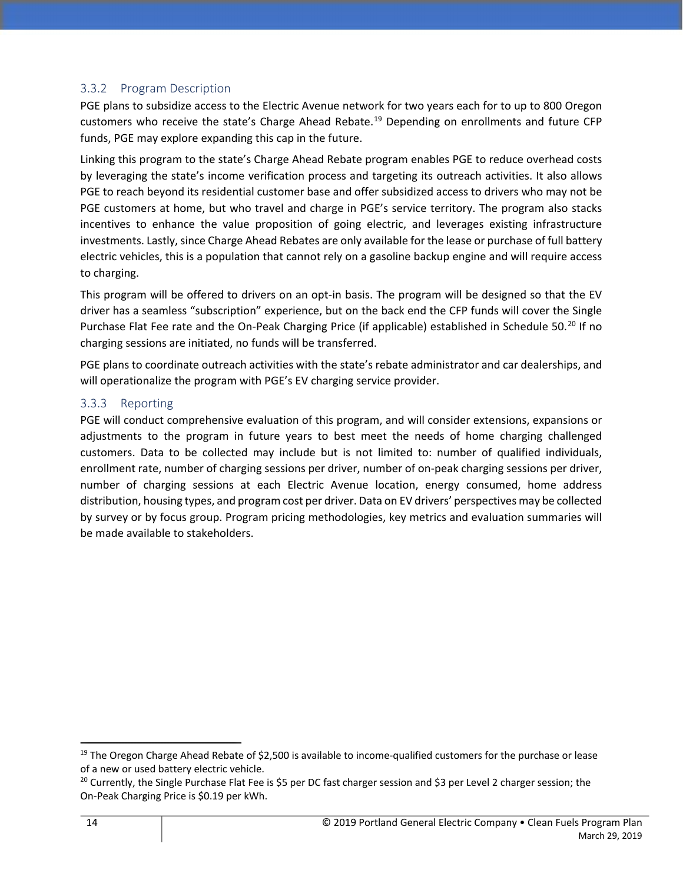#### 3.3.2 Program Description

PGE plans to subsidize access to the Electric Avenue network for two years each for to up to 800 Oregon customers who receive the state's Charge Ahead Rebate.[19](#page-16-0) Depending on enrollments and future CFP funds, PGE may explore expanding this cap in the future.

Linking this program to the state's Charge Ahead Rebate program enables PGE to reduce overhead costs by leveraging the state's income verification process and targeting its outreach activities. It also allows PGE to reach beyond its residential customer base and offer subsidized access to drivers who may not be PGE customers at home, but who travel and charge in PGE's service territory. The program also stacks incentives to enhance the value proposition of going electric, and leverages existing infrastructure investments. Lastly, since Charge Ahead Rebates are only available for the lease or purchase of full battery electric vehicles, this is a population that cannot rely on a gasoline backup engine and will require access to charging.

This program will be offered to drivers on an opt-in basis. The program will be designed so that the EV driver has a seamless "subscription" experience, but on the back end the CFP funds will cover the Single Purchase Flat Fee rate and the On-Peak Charging Price (if applicable) established in Schedule 50.<sup>[20](#page-16-1)</sup> If no charging sessions are initiated, no funds will be transferred.

PGE plans to coordinate outreach activities with the state's rebate administrator and car dealerships, and will operationalize the program with PGE's EV charging service provider.

#### 3.3.3 Reporting

PGE will conduct comprehensive evaluation of this program, and will consider extensions, expansions or adjustments to the program in future years to best meet the needs of home charging challenged customers. Data to be collected may include but is not limited to: number of qualified individuals, enrollment rate, number of charging sessions per driver, number of on-peak charging sessions per driver, number of charging sessions at each Electric Avenue location, energy consumed, home address distribution, housing types, and program cost per driver. Data on EV drivers' perspectives may be collected by survey or by focus group. Program pricing methodologies, key metrics and evaluation summaries will be made available to stakeholders.

 $\overline{a}$ 

<span id="page-16-0"></span><sup>&</sup>lt;sup>19</sup> The Oregon Charge Ahead Rebate of \$2,500 is available to income-qualified customers for the purchase or lease of a new or used battery electric vehicle.

<span id="page-16-1"></span> $20$  Currently, the Single Purchase Flat Fee is \$5 per DC fast charger session and \$3 per Level 2 charger session; the On-Peak Charging Price is \$0.19 per kWh.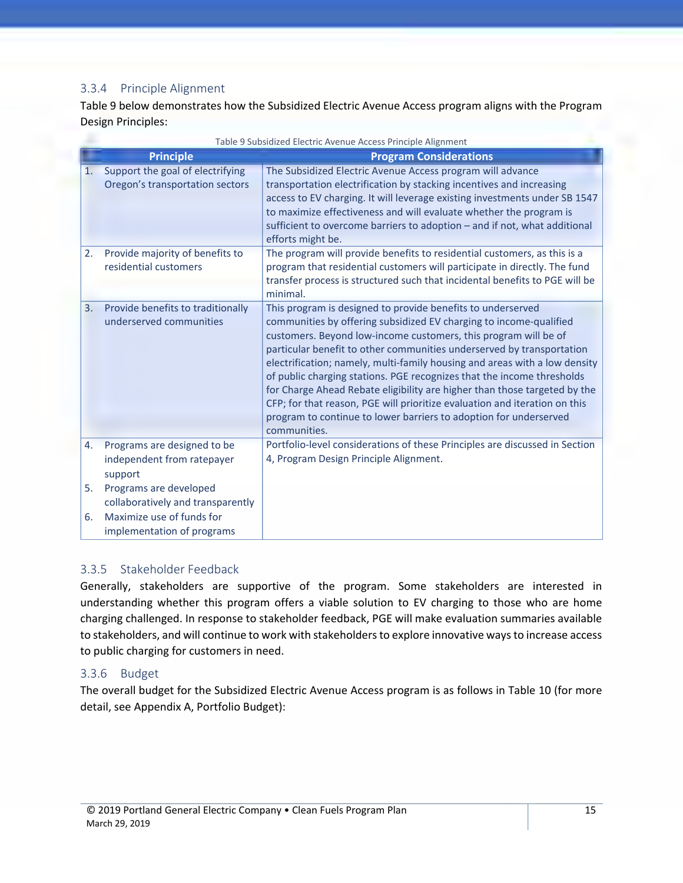#### 3.3.4 Principle Alignment

[Table 9 b](#page-17-0)elow demonstrates how the Subsidized Electric Avenue Access program aligns with the Program Design Principles:

<span id="page-17-0"></span>

|    | Table 9 Subsidized Electric Avenue Access Principle Alignment                                |                                                                                                                                                                                                                                                                                                                                                                                                                                                                                                                                                                                                                                                                                       |  |  |  |  |
|----|----------------------------------------------------------------------------------------------|---------------------------------------------------------------------------------------------------------------------------------------------------------------------------------------------------------------------------------------------------------------------------------------------------------------------------------------------------------------------------------------------------------------------------------------------------------------------------------------------------------------------------------------------------------------------------------------------------------------------------------------------------------------------------------------|--|--|--|--|
|    | <b>Principle</b><br><b>Program Considerations</b>                                            |                                                                                                                                                                                                                                                                                                                                                                                                                                                                                                                                                                                                                                                                                       |  |  |  |  |
| 1. | Support the goal of electrifying<br>Oregon's transportation sectors                          | The Subsidized Electric Avenue Access program will advance<br>transportation electrification by stacking incentives and increasing<br>access to EV charging. It will leverage existing investments under SB 1547<br>to maximize effectiveness and will evaluate whether the program is<br>sufficient to overcome barriers to adoption - and if not, what additional<br>efforts might be.                                                                                                                                                                                                                                                                                              |  |  |  |  |
| 2. | Provide majority of benefits to<br>residential customers                                     | The program will provide benefits to residential customers, as this is a<br>program that residential customers will participate in directly. The fund<br>transfer process is structured such that incidental benefits to PGE will be<br>minimal.                                                                                                                                                                                                                                                                                                                                                                                                                                      |  |  |  |  |
| 3. | Provide benefits to traditionally<br>underserved communities                                 | This program is designed to provide benefits to underserved<br>communities by offering subsidized EV charging to income-qualified<br>customers. Beyond low-income customers, this program will be of<br>particular benefit to other communities underserved by transportation<br>electrification; namely, multi-family housing and areas with a low density<br>of public charging stations. PGE recognizes that the income thresholds<br>for Charge Ahead Rebate eligibility are higher than those targeted by the<br>CFP; for that reason, PGE will prioritize evaluation and iteration on this<br>program to continue to lower barriers to adoption for underserved<br>communities. |  |  |  |  |
| 4. | Programs are designed to be<br>independent from ratepayer<br>support                         | Portfolio-level considerations of these Principles are discussed in Section<br>4, Program Design Principle Alignment.                                                                                                                                                                                                                                                                                                                                                                                                                                                                                                                                                                 |  |  |  |  |
| 5. | Programs are developed                                                                       |                                                                                                                                                                                                                                                                                                                                                                                                                                                                                                                                                                                                                                                                                       |  |  |  |  |
| 6. | collaboratively and transparently<br>Maximize use of funds for<br>implementation of programs |                                                                                                                                                                                                                                                                                                                                                                                                                                                                                                                                                                                                                                                                                       |  |  |  |  |

#### 3.3.5 Stakeholder Feedback

Generally, stakeholders are supportive of the program. Some stakeholders are interested in understanding whether this program offers a viable solution to EV charging to those who are home charging challenged. In response to stakeholder feedback, PGE will make evaluation summaries available to stakeholders, and will continue to work with stakeholders to explore innovative ways to increase access to public charging for customers in need.

#### 3.3.6 Budget

The overall budget for the Subsidized Electric Avenue Access program is as follows in [Table 10](#page-18-1) (for more detail, see Appendix A, Portfolio Budget):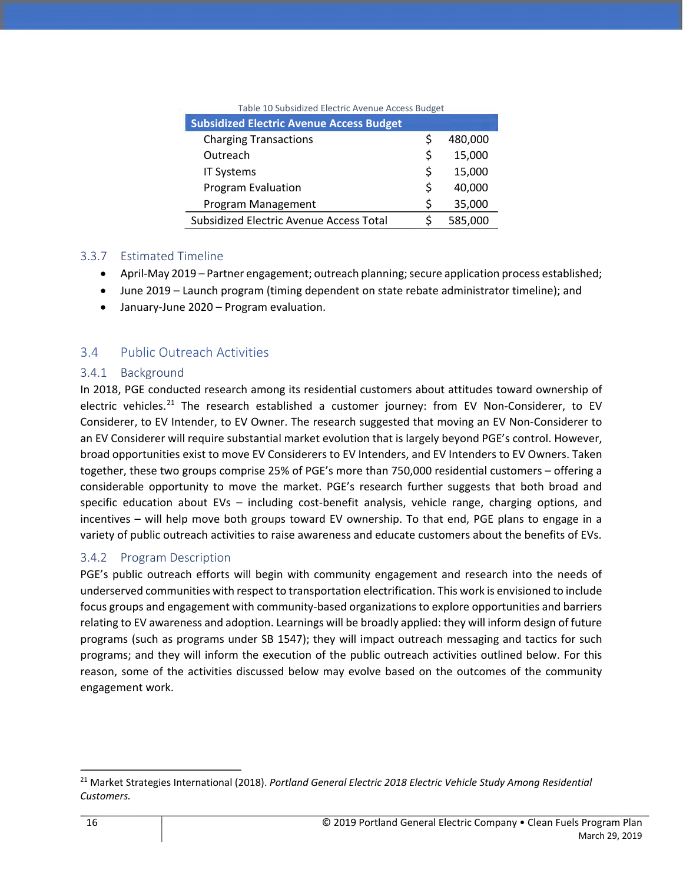<span id="page-18-1"></span>

| Table 10 Subsidized Electric Avenue Access Budget |   |         |  |  |
|---------------------------------------------------|---|---------|--|--|
| <b>Subsidized Electric Avenue Access Budget</b>   |   |         |  |  |
| <b>Charging Transactions</b>                      |   | 480,000 |  |  |
| Outreach                                          | Ś | 15,000  |  |  |
| <b>IT Systems</b>                                 | Ś | 15,000  |  |  |
| Program Evaluation                                | Ś | 40,000  |  |  |
| Program Management                                | S | 35,000  |  |  |
| Subsidized Electric Avenue Access Total           |   | 585,000 |  |  |

#### 3.3.7 Estimated Timeline

- April-May 2019 Partner engagement; outreach planning; secure application process established;
- June 2019 Launch program (timing dependent on state rebate administrator timeline); and
- January-June 2020 Program evaluation.

#### <span id="page-18-0"></span>3.4 Public Outreach Activities

#### 3.4.1 Background

In 2018, PGE conducted research among its residential customers about attitudes toward ownership of electric vehicles.<sup>[21](#page-18-2)</sup> The research established a customer journey: from EV Non-Considerer, to EV Considerer, to EV Intender, to EV Owner. The research suggested that moving an EV Non-Considerer to an EV Considerer will require substantial market evolution that is largely beyond PGE's control. However, broad opportunities exist to move EV Considerers to EV Intenders, and EV Intenders to EV Owners. Taken together, these two groups comprise 25% of PGE's more than 750,000 residential customers – offering a considerable opportunity to move the market. PGE's research further suggests that both broad and specific education about EVs – including cost-benefit analysis, vehicle range, charging options, and incentives – will help move both groups toward EV ownership. To that end, PGE plans to engage in a variety of public outreach activities to raise awareness and educate customers about the benefits of EVs.

#### 3.4.2 Program Description

PGE's public outreach efforts will begin with community engagement and research into the needs of underserved communities with respect to transportation electrification. This work is envisioned to include focus groups and engagement with community-based organizations to explore opportunities and barriers relating to EV awareness and adoption. Learnings will be broadly applied: they will inform design of future programs (such as programs under SB 1547); they will impact outreach messaging and tactics for such programs; and they will inform the execution of the public outreach activities outlined below. For this reason, some of the activities discussed below may evolve based on the outcomes of the community engagement work.

 $\overline{a}$ 

<span id="page-18-2"></span><sup>21</sup> Market Strategies International (2018). *Portland General Electric 2018 Electric Vehicle Study Among Residential Customers.*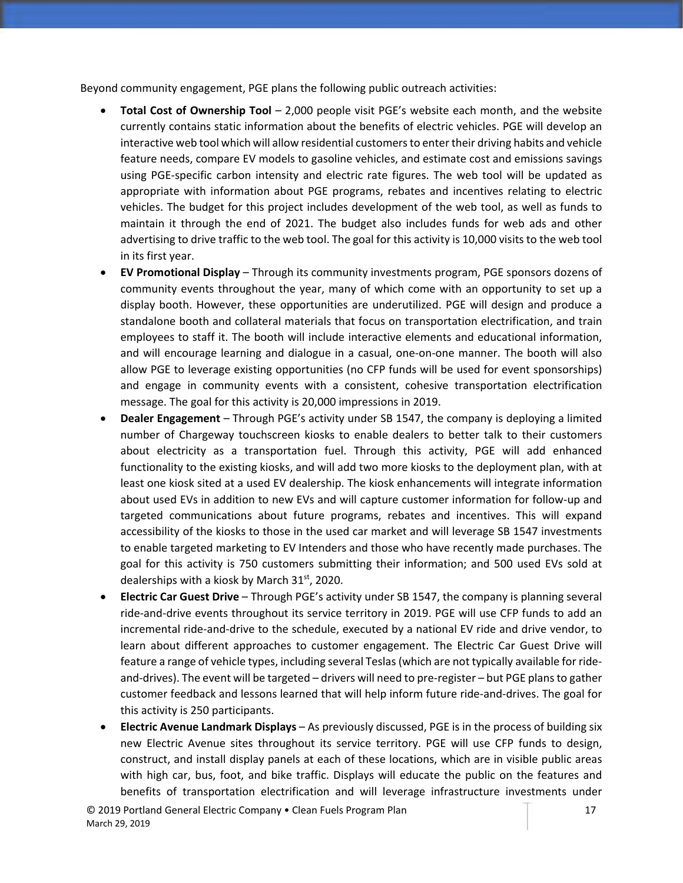Beyond community engagement, PGE plans the following public outreach activities:

- **Total Cost of Ownership Tool** 2,000 people visit PGE's website each month, and the website currently contains static information about the benefits of electric vehicles. PGE will develop an interactive web tool which will allow residential customers to enter their driving habits and vehicle feature needs, compare EV models to gasoline vehicles, and estimate cost and emissions savings using PGE-specific carbon intensity and electric rate figures. The web tool will be updated as appropriate with information about PGE programs, rebates and incentives relating to electric vehicles. The budget for this project includes development of the web tool, as well as funds to maintain it through the end of 2021. The budget also includes funds for web ads and other advertising to drive traffic to the web tool. The goal for this activity is 10,000 visits to the web tool in its first year.
- **EV Promotional Display** Through its community investments program, PGE sponsors dozens of community events throughout the year, many of which come with an opportunity to set up a display booth. However, these opportunities are underutilized. PGE will design and produce a standalone booth and collateral materials that focus on transportation electrification, and train employees to staff it. The booth will include interactive elements and educational information, and will encourage learning and dialogue in a casual, one-on-one manner. The booth will also allow PGE to leverage existing opportunities (no CFP funds will be used for event sponsorships) and engage in community events with a consistent, cohesive transportation electrification message. The goal for this activity is 20,000 impressions in 2019.
- **Dealer Engagement** Through PGE's activity under SB 1547, the company is deploying a limited number of Chargeway touchscreen kiosks to enable dealers to better talk to their customers about electricity as a transportation fuel. Through this activity, PGE will add enhanced functionality to the existing kiosks, and will add two more kiosks to the deployment plan, with at least one kiosk sited at a used EV dealership. The kiosk enhancements will integrate information about used EVs in addition to new EVs and will capture customer information for follow-up and targeted communications about future programs, rebates and incentives. This will expand accessibility of the kiosks to those in the used car market and will leverage SB 1547 investments to enable targeted marketing to EV Intenders and those who have recently made purchases. The goal for this activity is 750 customers submitting their information; and 500 used EVs sold at dealerships with a kiosk by March  $31<sup>st</sup>$ , 2020.
- **Electric Car Guest Drive** Through PGE's activity under SB 1547, the company is planning several ride-and-drive events throughout its service territory in 2019. PGE will use CFP funds to add an incremental ride-and-drive to the schedule, executed by a national EV ride and drive vendor, to learn about different approaches to customer engagement. The Electric Car Guest Drive will feature a range of vehicle types, including several Teslas (which are not typically available for rideand-drives). The event will be targeted – drivers will need to pre-register – but PGE plans to gather customer feedback and lessons learned that will help inform future ride-and-drives. The goal for this activity is 250 participants.
- **Electric Avenue Landmark Displays** As previously discussed, PGE is in the process of building six new Electric Avenue sites throughout its service territory. PGE will use CFP funds to design, construct, and install display panels at each of these locations, which are in visible public areas with high car, bus, foot, and bike traffic. Displays will educate the public on the features and benefits of transportation electrification and will leverage infrastructure investments under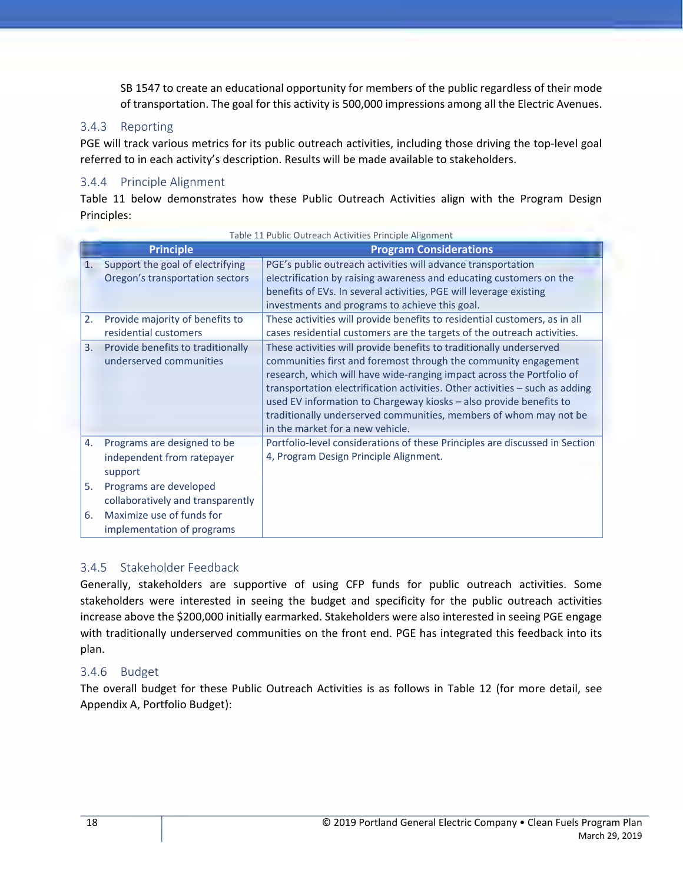SB 1547 to create an educational opportunity for members of the public regardless of their mode of transportation. The goal for this activity is 500,000 impressions among all the Electric Avenues.

#### 3.4.3 Reporting

PGE will track various metrics for its public outreach activities, including those driving the top-level goal referred to in each activity's description. Results will be made available to stakeholders.

#### 3.4.4 Principle Alignment

[Table 11](#page-20-0) below demonstrates how these Public Outreach Activities align with the Program Design Principles:

<span id="page-20-0"></span>

|    |                                   | Table 11 Public Outreach Activities Principle Alignment                      |
|----|-----------------------------------|------------------------------------------------------------------------------|
|    | <b>Principle</b>                  | <b>Program Considerations</b>                                                |
| 1. | Support the goal of electrifying  | PGE's public outreach activities will advance transportation                 |
|    | Oregon's transportation sectors   | electrification by raising awareness and educating customers on the          |
|    |                                   | benefits of EVs. In several activities, PGE will leverage existing           |
|    |                                   | investments and programs to achieve this goal.                               |
| 2. | Provide majority of benefits to   | These activities will provide benefits to residential customers, as in all   |
|    | residential customers             | cases residential customers are the targets of the outreach activities.      |
| 3. | Provide benefits to traditionally | These activities will provide benefits to traditionally underserved          |
|    | underserved communities           | communities first and foremost through the community engagement              |
|    |                                   | research, which will have wide-ranging impact across the Portfolio of        |
|    |                                   | transportation electrification activities. Other activities – such as adding |
|    |                                   | used EV information to Chargeway kiosks – also provide benefits to           |
|    |                                   | traditionally underserved communities, members of whom may not be            |
|    |                                   | in the market for a new vehicle.                                             |
| 4. | Programs are designed to be       | Portfolio-level considerations of these Principles are discussed in Section  |
|    | independent from ratepayer        | 4, Program Design Principle Alignment.                                       |
|    | support                           |                                                                              |
| 5. | Programs are developed            |                                                                              |
|    | collaboratively and transparently |                                                                              |
| 6. | Maximize use of funds for         |                                                                              |
|    | implementation of programs        |                                                                              |
|    |                                   |                                                                              |

#### 3.4.5 Stakeholder Feedback

Generally, stakeholders are supportive of using CFP funds for public outreach activities. Some stakeholders were interested in seeing the budget and specificity for the public outreach activities increase above the \$200,000 initially earmarked. Stakeholders were also interested in seeing PGE engage with traditionally underserved communities on the front end. PGE has integrated this feedback into its plan.

#### 3.4.6 Budget

The overall budget for these Public Outreach Activities is as follows in [Table 12](#page-21-1) (for more detail, see Appendix A, Portfolio Budget):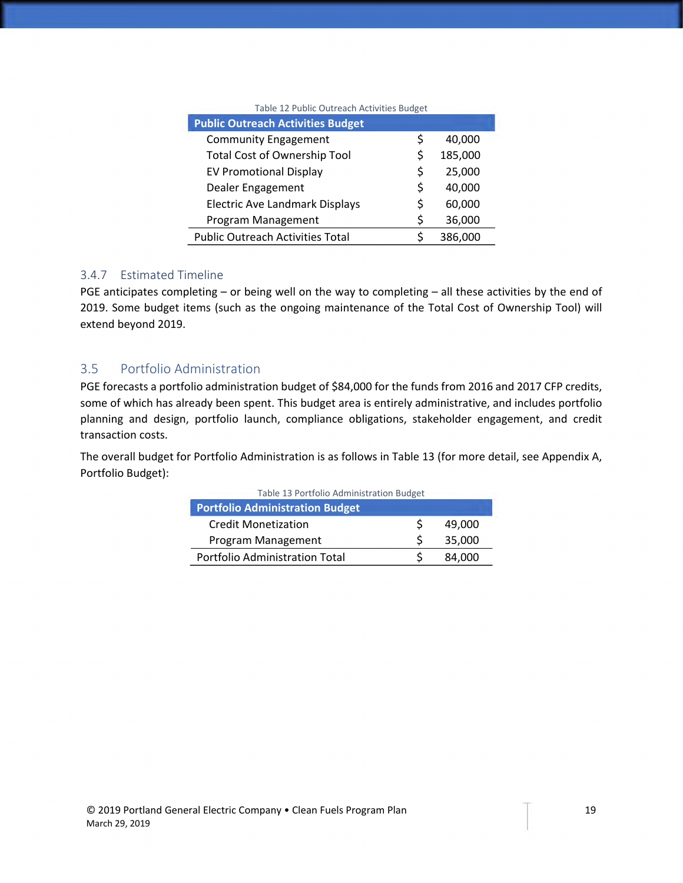<span id="page-21-1"></span>

| Table 12 Public Outreach Activities Budget |    |         |  |  |  |  |  |  |  |  |  |  |  |  |  |
|--------------------------------------------|----|---------|--|--|--|--|--|--|--|--|--|--|--|--|--|
| <b>Public Outreach Activities Budget</b>   |    |         |  |  |  |  |  |  |  |  |  |  |  |  |  |
| <b>Community Engagement</b>                | S  | 40,000  |  |  |  |  |  |  |  |  |  |  |  |  |  |
| <b>Total Cost of Ownership Tool</b>        | Ś  | 185,000 |  |  |  |  |  |  |  |  |  |  |  |  |  |
| <b>EV Promotional Display</b>              | \$ | 25,000  |  |  |  |  |  |  |  |  |  |  |  |  |  |
| Dealer Engagement                          | \$ | 40,000  |  |  |  |  |  |  |  |  |  |  |  |  |  |
| <b>Electric Ave Landmark Displays</b>      | \$ | 60,000  |  |  |  |  |  |  |  |  |  |  |  |  |  |
| Program Management                         | \$ | 36,000  |  |  |  |  |  |  |  |  |  |  |  |  |  |
| <b>Public Outreach Activities Total</b>    |    | 386,000 |  |  |  |  |  |  |  |  |  |  |  |  |  |

#### 3.4.7 Estimated Timeline

PGE anticipates completing – or being well on the way to completing – all these activities by the end of 2019. Some budget items (such as the ongoing maintenance of the Total Cost of Ownership Tool) will extend beyond 2019.

#### <span id="page-21-0"></span>3.5 Portfolio Administration

PGE forecasts a portfolio administration budget of \$84,000 for the funds from 2016 and 2017 CFP credits, some of which has already been spent. This budget area is entirely administrative, and includes portfolio planning and design, portfolio launch, compliance obligations, stakeholder engagement, and credit transaction costs.

<span id="page-21-2"></span>The overall budget for Portfolio Administration is as follows i[n Table 13](#page-21-2) (for more detail, see Appendix A, Portfolio Budget):

| Table 13 Portfolio Administration Budget |  |        |  |  |  |  |  |  |  |  |  |  |  |
|------------------------------------------|--|--------|--|--|--|--|--|--|--|--|--|--|--|
| <b>Portfolio Administration Budget</b>   |  |        |  |  |  |  |  |  |  |  |  |  |  |
| <b>Credit Monetization</b>               |  | 49,000 |  |  |  |  |  |  |  |  |  |  |  |
| Program Management                       |  | 35,000 |  |  |  |  |  |  |  |  |  |  |  |
| Portfolio Administration Total           |  | 84.000 |  |  |  |  |  |  |  |  |  |  |  |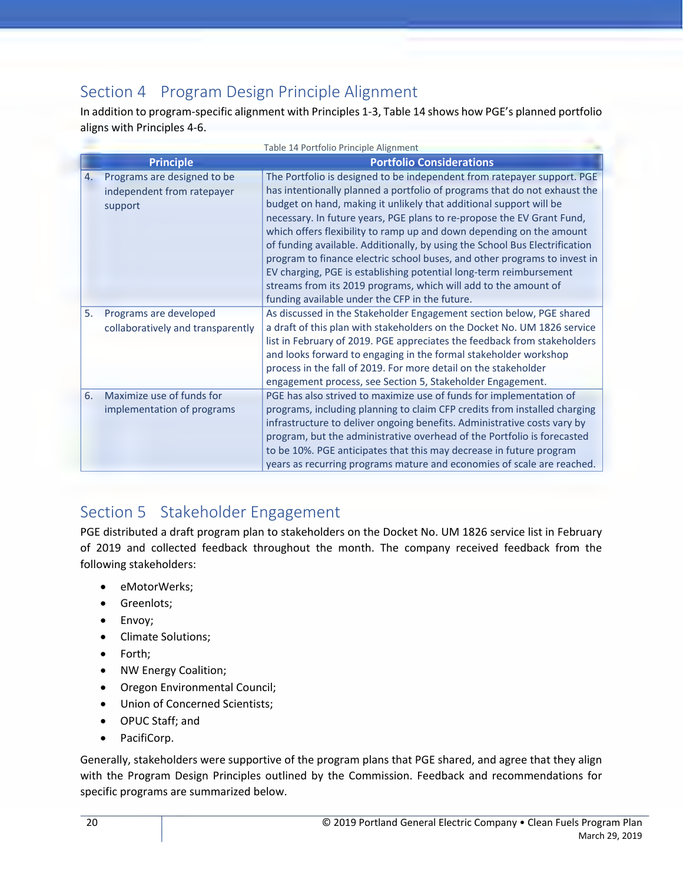## <span id="page-22-0"></span>Section 4 Program Design Principle Alignment

In addition to program-specific alignment with Principles 1-3, [Table 14](#page-22-2) shows how PGE's planned portfolio aligns with Principles 4-6.

<span id="page-22-2"></span>

|    |                                                                      | Table 14 Portfolio Principle Alignment                                                                                                                                                                                                                                                                                                                                                                                                                                                                                                                                                                                                                                                                                              |
|----|----------------------------------------------------------------------|-------------------------------------------------------------------------------------------------------------------------------------------------------------------------------------------------------------------------------------------------------------------------------------------------------------------------------------------------------------------------------------------------------------------------------------------------------------------------------------------------------------------------------------------------------------------------------------------------------------------------------------------------------------------------------------------------------------------------------------|
|    | <b>Principle</b>                                                     | <b>Portfolio Considerations</b>                                                                                                                                                                                                                                                                                                                                                                                                                                                                                                                                                                                                                                                                                                     |
| 4. | Programs are designed to be<br>independent from ratepayer<br>support | The Portfolio is designed to be independent from ratepayer support. PGE<br>has intentionally planned a portfolio of programs that do not exhaust the<br>budget on hand, making it unlikely that additional support will be<br>necessary. In future years, PGE plans to re-propose the EV Grant Fund,<br>which offers flexibility to ramp up and down depending on the amount<br>of funding available. Additionally, by using the School Bus Electrification<br>program to finance electric school buses, and other programs to invest in<br>EV charging, PGE is establishing potential long-term reimbursement<br>streams from its 2019 programs, which will add to the amount of<br>funding available under the CFP in the future. |
| 5. | Programs are developed<br>collaboratively and transparently          | As discussed in the Stakeholder Engagement section below, PGE shared<br>a draft of this plan with stakeholders on the Docket No. UM 1826 service<br>list in February of 2019. PGE appreciates the feedback from stakeholders<br>and looks forward to engaging in the formal stakeholder workshop<br>process in the fall of 2019. For more detail on the stakeholder<br>engagement process, see Section 5, Stakeholder Engagement.                                                                                                                                                                                                                                                                                                   |
| 6. | Maximize use of funds for<br>implementation of programs              | PGE has also strived to maximize use of funds for implementation of<br>programs, including planning to claim CFP credits from installed charging<br>infrastructure to deliver ongoing benefits. Administrative costs vary by<br>program, but the administrative overhead of the Portfolio is forecasted<br>to be 10%. PGE anticipates that this may decrease in future program<br>years as recurring programs mature and economies of scale are reached.                                                                                                                                                                                                                                                                            |

## <span id="page-22-1"></span>Section 5 Stakeholder Engagement

PGE distributed a draft program plan to stakeholders on the Docket No. UM 1826 service list in February of 2019 and collected feedback throughout the month. The company received feedback from the following stakeholders:

- eMotorWerks;
- Greenlots;
- Envoy;
- Climate Solutions;
- Forth;
- NW Energy Coalition;
- Oregon Environmental Council;
- Union of Concerned Scientists;
- OPUC Staff; and
- PacifiCorp.

Generally, stakeholders were supportive of the program plans that PGE shared, and agree that they align with the Program Design Principles outlined by the Commission. Feedback and recommendations for specific programs are summarized below.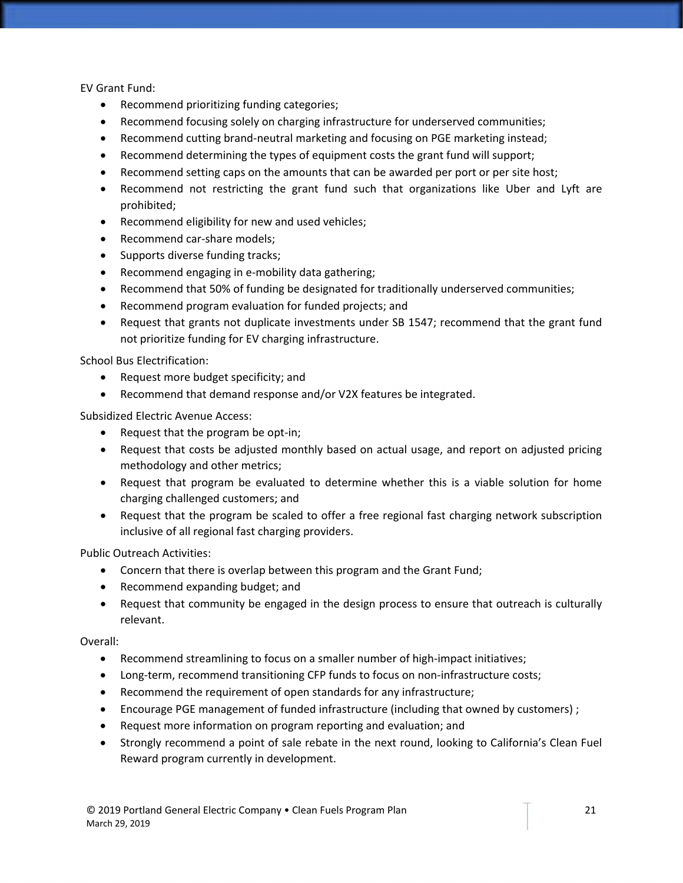EV Grant Fund:

- Recommend prioritizing funding categories;
- Recommend focusing solely on charging infrastructure for underserved communities;
- Recommend cutting brand-neutral marketing and focusing on PGE marketing instead;
- Recommend determining the types of equipment costs the grant fund will support;
- Recommend setting caps on the amounts that can be awarded per port or per site host;
- Recommend not restricting the grant fund such that organizations like Uber and Lyft are prohibited;
- Recommend eligibility for new and used vehicles;
- Recommend car-share models;
- Supports diverse funding tracks;
- Recommend engaging in e-mobility data gathering;
- Recommend that 50% of funding be designated for traditionally underserved communities;
- Recommend program evaluation for funded projects; and
- Request that grants not duplicate investments under SB 1547; recommend that the grant fund not prioritize funding for EV charging infrastructure.

School Bus Electrification:

- Request more budget specificity; and
- Recommend that demand response and/or V2X features be integrated.

Subsidized Electric Avenue Access:

- Request that the program be opt-in;
- Request that costs be adjusted monthly based on actual usage, and report on adjusted pricing methodology and other metrics;
- Request that program be evaluated to determine whether this is a viable solution for home charging challenged customers; and
- Request that the program be scaled to offer a free regional fast charging network subscription inclusive of all regional fast charging providers.

Public Outreach Activities:

- Concern that there is overlap between this program and the Grant Fund;
- Recommend expanding budget; and
- Request that community be engaged in the design process to ensure that outreach is culturally relevant.

Overall:

- Recommend streamlining to focus on a smaller number of high-impact initiatives;
- Long-term, recommend transitioning CFP funds to focus on non-infrastructure costs;
- Recommend the requirement of open standards for any infrastructure;
- Encourage PGE management of funded infrastructure (including that owned by customers) ;
- Request more information on program reporting and evaluation; and
- Strongly recommend a point of sale rebate in the next round, looking to California's Clean Fuel Reward program currently in development.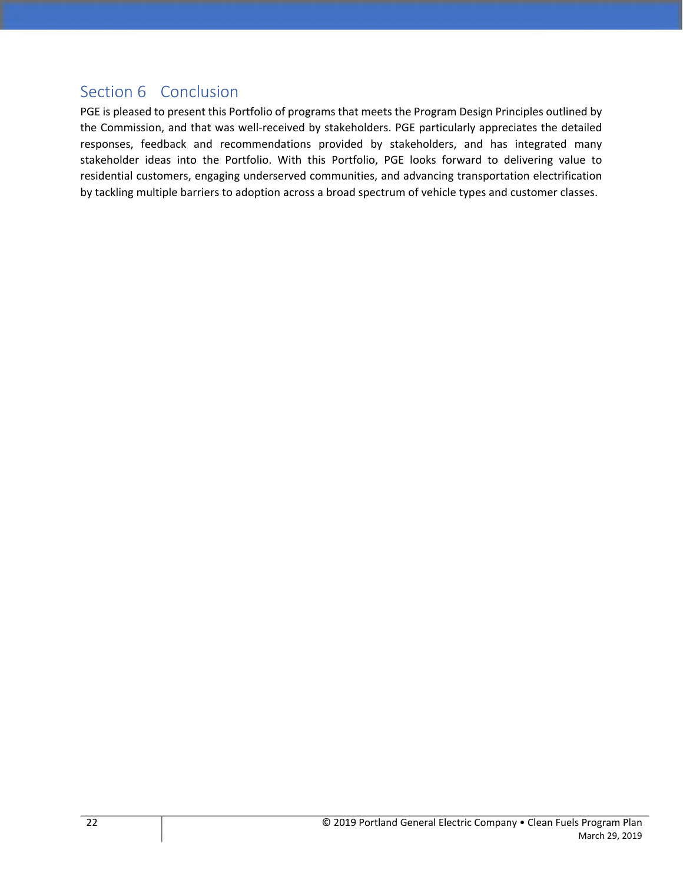## <span id="page-24-0"></span>Section 6 Conclusion

PGE is pleased to present this Portfolio of programs that meets the Program Design Principles outlined by the Commission, and that was well-received by stakeholders. PGE particularly appreciates the detailed responses, feedback and recommendations provided by stakeholders, and has integrated many stakeholder ideas into the Portfolio. With this Portfolio, PGE looks forward to delivering value to residential customers, engaging underserved communities, and advancing transportation electrification by tackling multiple barriers to adoption across a broad spectrum of vehicle types and customer classes.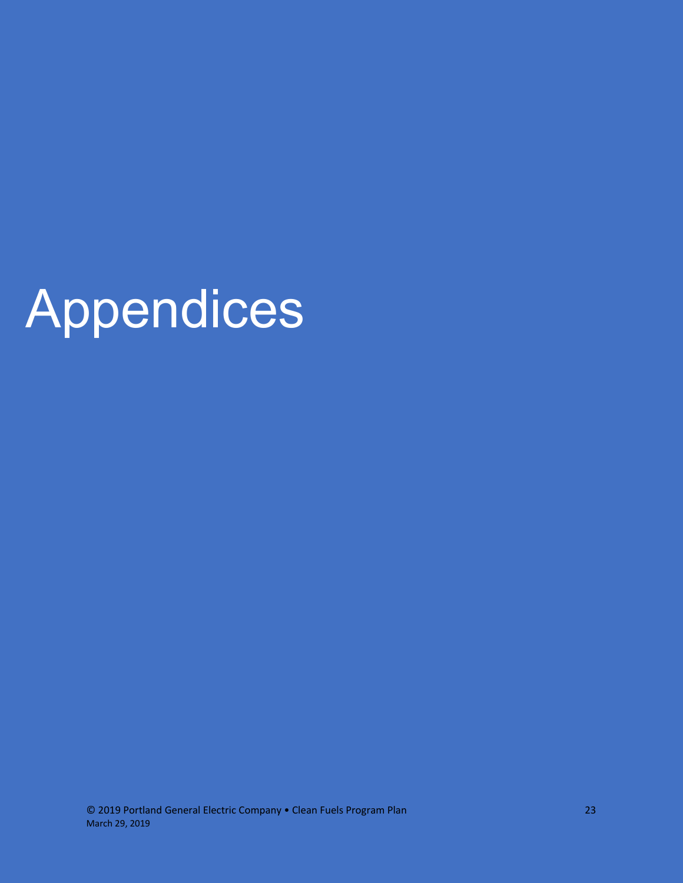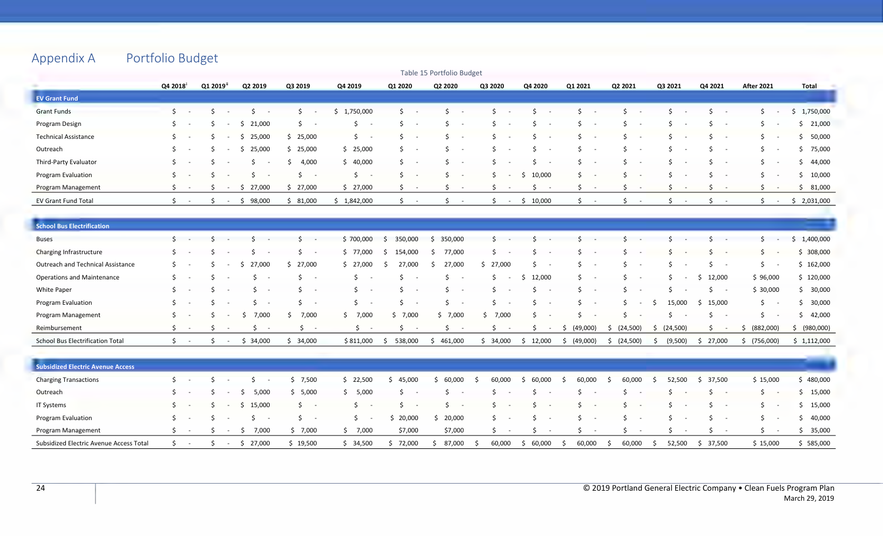# Appendix A Portfolio Budget

|                             |                      |          |          |               |              |         | Table 15 Portfolio Budget |                          |                          |                                |                          |                  |                          |                          |              |
|-----------------------------|----------------------|----------|----------|---------------|--------------|---------|---------------------------|--------------------------|--------------------------|--------------------------------|--------------------------|------------------|--------------------------|--------------------------|--------------|
|                             | Q4 2018 <sup>i</sup> | Q1 2019" | Q2 2019  | Q3 2019       | Q4 2019      | Q1 2020 | Q2 2020                   | Q3 2020                  | Q4 2020                  | Q1 2021                        | Q2 2021                  | Q3 2021          | Q4 2021                  | <b>After 2021</b>        | <b>Total</b> |
| <b>EV Grant Fund</b>        |                      |          |          |               |              |         |                           |                          |                          |                                |                          |                  |                          |                          |              |
| <b>Grant Funds</b>          | $\sim$ $ \sim$       |          |          | $\sim$ $-$    | 1,750,000    | $\sim$  |                           | $\sim$                   | $\sim$                   | $\overline{\phantom{a}}$       | $\overline{\phantom{a}}$ |                  | $\overline{\phantom{a}}$ | $S -$                    | \$1,750,000  |
| Program Design              | $\sim$               | $S - 1$  | \$21,000 | $S -$         | $\sim$       | $\sim$  | $S -$                     | $\sim$                   | $S - -$                  | S.<br>$\overline{\phantom{a}}$ | S.<br>$\sim$             | $\sim$ $\sim$    | $\sim$                   | $\sim$                   | 21,000       |
| <b>Technical Assistance</b> |                      | $\sim$   | 25,000   | \$25,000      | Š.<br>$\sim$ | $\sim$  | $S = -$                   | $\overline{\phantom{a}}$ | $S -$                    | $\overline{\phantom{a}}$       | S.<br>$\sim$             | $\sim$           | $\sim$                   | $\sim$                   | 50,000       |
| Outreach                    | $\sim$               | $S - 1$  | \$25,000 | \$25,000      | \$25,000     | $S -$   | $S -$                     | $S -$                    | $S - 1$                  | $\mathsf{S}$ -                 | S.<br>$\sim$             | $\sim$ 100 $\pm$ | S.<br>$\sim$             | $\sim$                   | 75,000       |
| Third-Party Evaluator       |                      |          | $\sim$   | 4,000         | 40,000       | $S -$   | $S - -$                   | $\sim$                   | $S -$                    | S.<br>$\overline{\phantom{a}}$ | S.<br>$\sim$             | $\sim$           | $\sim$                   | $S - 1$                  | 44,000       |
| Program Evaluation          | S.<br>$\sim$         |          |          | $\sim$ $\sim$ | $\sim$       | $\sim$  | $S -$                     | $S - 1$                  | \$10,000                 | $S -$                          | S.<br>$\sim$             | $\sim$ $-$       | S.<br>$\sim$             | $\sim$                   | 10,000       |
| <b>Program Management</b>   |                      | $\sim$   | 27,000   | \$27,000      | \$27,000     |         | $\overline{\phantom{a}}$  |                          | $\overline{\phantom{a}}$ |                                |                          |                  |                          | $\overline{\phantom{a}}$ | 81,000       |
| <b>EV Grant Fund Total</b>  |                      |          | 98,000   | 81,000        | \$1,842,000  |         |                           |                          | 10,000                   |                                |                          |                  |                          | $\sim$ $-$               | \$2,031,000  |

<span id="page-26-1"></span><span id="page-26-0"></span>

| <b>School Bus Electrification</b>       |    |        |         |                |          |           |               |                         |                          |          |                                    |          |          |                               |          |           |             |
|-----------------------------------------|----|--------|---------|----------------|----------|-----------|---------------|-------------------------|--------------------------|----------|------------------------------------|----------|----------|-------------------------------|----------|-----------|-------------|
| <b>Buses</b>                            |    |        |         |                | $S -$    | \$700,000 |               | 350,000                 | 350,000                  | $\sim$   |                                    |          |          | $\sim$                        |          | $S = -$   | \$1,400,000 |
| Charging Infrastructure                 |    | $\sim$ | $\sim$  | $\sim$         | $S - 1$  | \$77,000  | $\mathcal{S}$ | 154,000                 | 77,000<br>S.             | $S -$    | S.<br>$\sim$                       | $S -$    | $\sim$   | $S -$                         | $\sim$   | $S -$     | \$308,000   |
| Outreach and Technical Assistance       |    |        | $S - -$ | \$ 27,000      | \$27,000 | \$27,000  | - 5           | 27,000                  | 27,000<br>S.             | \$27,000 | S –                                | $S -$    |          | S.<br>$\sim 100$ km s $^{-1}$ |          | $S - -$   | \$162,000   |
| <b>Operations and Maintenance</b>       | S. |        |         |                | $S -$    | $\sim$    |               | $\sim$                  | $\sim$ $-$               | S -      | \$12,000                           | $S -$    | $\sim$   | $S -$                         | 12,000   | \$96,000  | \$120,000   |
| <b>White Paper</b>                      |    | $\sim$ | $\sim$  | $\mathbf{S}$ - | $S -$    | $\sim$    |               | $\sim 100$ km s $^{-1}$ | $\sim$ $\sim$            | $S -$    | $\sim$                             | $S =$    | $\sim$   | $\varsigma$<br>$\sim$         | $\sim$   | \$30,000  | \$30,000    |
| Program Evaluation                      |    |        |         | $\sim$ $-$     | $S = -$  |           |               | $\sim$                  | $\sim$ $-$               | $S = -$  |                                    | $S = -$  | $S -$    | 15,000                        | \$15,000 | $S -$     | \$30,000    |
| Program Management                      |    |        | $\sim$  | 7,000          | \$7,000  | 7,000     |               | \$7,000                 | \$7,000                  | \$7,000  | S.                                 | $S =$    |          | S.<br>$\sim$                  |          | $S = -$   | \$42,000    |
| Reimbursement                           |    | $\sim$ |         |                |          |           |               |                         | $\overline{\phantom{a}}$ | $\sim$   | $\sim$                             | (49,000) | (24,500) | (24,500)                      | $\sim$   | (882,000) | (980,000)   |
| <b>School Bus Electrification Total</b> |    |        | $\sim$  | \$34,000       | 34,000   | \$811,000 |               | 538,000                 | 461,000                  | 34,000   | 12,000<br>$\overline{\phantom{0}}$ | (49,000) | (24,500) | (9,500)                       | 27,000   | (756,000) | \$1,112,000 |

| <b>Subsidized Electric Avenue Access</b> |         |       |                                    |          |          |                |           |            |           |               |                |         |           |                |           |
|------------------------------------------|---------|-------|------------------------------------|----------|----------|----------------|-----------|------------|-----------|---------------|----------------|---------|-----------|----------------|-----------|
| <b>Charging Transactions</b>             |         |       |                                    | \$7,500  | 22,500   | 45,000         | 60,000    | 60,000     | 60,000    | 60,000        | 60,000         | 52,500  | \$ 37,500 | \$15,000       | \$480,000 |
| Outreach                                 |         | S – S | 5,000                              | \$5,000  | \$5,000  | $\mathbf{S}$ - | $S -$     | S –        | $S = -$   | $S -$         | $S -$          | $S -$   |           | $\mathbf{S}$ - | \$15,000  |
| IT Systems                               |         |       | $\zeta$ - $\zeta$ - $\zeta$ 15,000 | S –      | $S - 1$  | $S -$          | S –       |            | $S - S -$ | $S -$         | S –            | $S -$   | $S -$     | $S -$          | \$15,000  |
| Program Evaluation                       | $S - 1$ |       |                                    | S –      | $S -$    | \$20,000       | \$20,000  | - S -      | $S - 5$   | $S -$         | - S - S        |         |           | $S -$          | \$40,000  |
| Program Management                       |         |       | 7,000                              | \$7,000  | \$7,000  | \$7,000        | \$7,000   | $\sim$ $-$ | $S -$     | $\sim$ $\sim$ | $\mathbf{S}$ - | $5 - -$ |           | $\sim$ $\sim$  | \$35,000  |
| Subsidized Electric Avenue Access Total  |         |       | 527,000                            | \$19,500 | \$34,500 | 72,000         | \$ 87,000 | 60,000     | 60,000    | 60,000        | 60,000         | 52,500  | \$ 37,500 | \$15,000       | \$585,000 |